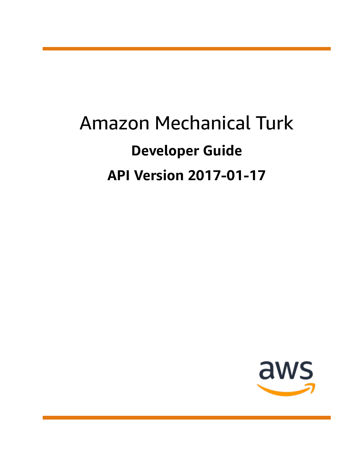# Amazon Mechanical Turk **Developer Guide API Version 2017-01-17**

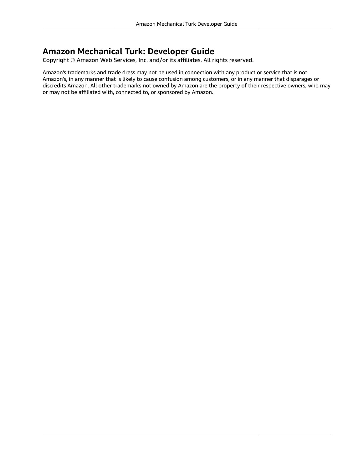### **Amazon Mechanical Turk: Developer Guide**

Copyright © Amazon Web Services, Inc. and/or its affiliates. All rights reserved.

Amazon's trademarks and trade dress may not be used in connection with any product or service that is not Amazon's, in any manner that is likely to cause confusion among customers, or in any manner that disparages or discredits Amazon. All other trademarks not owned by Amazon are the property of their respective owners, who may or may not be affiliated with, connected to, or sponsored by Amazon.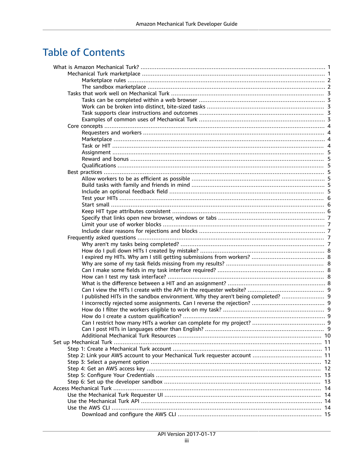# **Table of Contents**

| I published HITs in the sandbox environment. Why they aren't being completed?  9 |  |
|----------------------------------------------------------------------------------|--|
|                                                                                  |  |
|                                                                                  |  |
|                                                                                  |  |
|                                                                                  |  |
|                                                                                  |  |
|                                                                                  |  |
|                                                                                  |  |
|                                                                                  |  |
|                                                                                  |  |
|                                                                                  |  |
|                                                                                  |  |
|                                                                                  |  |
|                                                                                  |  |
|                                                                                  |  |
|                                                                                  |  |
|                                                                                  |  |
|                                                                                  |  |
|                                                                                  |  |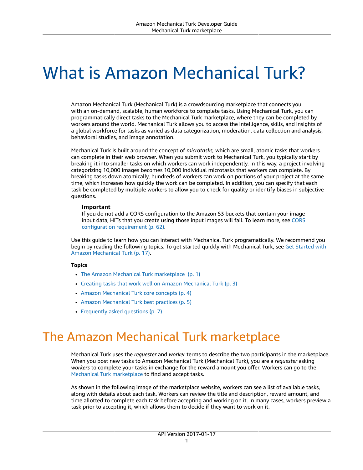# <span id="page-4-0"></span>What is Amazon Mechanical Turk?

Amazon Mechanical Turk (Mechanical Turk) is a crowdsourcing marketplace that connects you with an on-demand, scalable, human workforce to complete tasks. Using Mechanical Turk, you can programmatically direct tasks to the Mechanical Turk marketplace, where they can be completed by workers around the world. Mechanical Turk allows you to access the intelligence, skills, and insights of a global workforce for tasks as varied as data categorization, moderation, data collection and analysis, behavioral studies, and image annotation.

Mechanical Turk is built around the concept of *microtasks,* which are small, atomic tasks that workers can complete in their web browser. When you submit work to Mechanical Turk, you typically start by breaking it into smaller tasks on which workers can work independently. In this way, a project involving categorizing 10,000 images becomes 10,000 individual microtasks that workers can complete. By breaking tasks down atomically, hundreds of workers can work on portions of your project at the same time, which increases how quickly the work can be completed. In addition, you can specify that each task be completed by multiple workers to allow you to check for quality or identify biases in subjective questions.

#### **Important**

If you do not add a CORS configuration to the Amazon S3 buckets that contain your image input data, HITs that you create using those input images will fail. To learn more, see [CORS](#page-65-0) [configuration](#page-65-0) requirement [\(p. 62\)](#page-65-0).

Use this guide to learn how you can interact with Mechanical Turk programatically. We recommend you begin by reading the following topics. To get started quickly with Mechanical Turk, see Get [Started](#page-20-0) with Amazon [Mechanical](#page-20-0) Turk [\(p. 17\).](#page-20-0)

#### **Topics**

- The Amazon Mechanical Turk [marketplace \(p. 1\)](#page-4-1)
- Creating tasks that work well on Amazon [Mechanical](#page-6-0) Turk (p. 3)
- Amazon Mechanical Turk core [concepts \(p. 4\)](#page-7-0)
- Amazon Mechanical Turk best [practices \(p. 5\)](#page-8-3)
- Frequently asked [questions \(p. 7\)](#page-10-3)

# <span id="page-4-1"></span>The Amazon Mechanical Turk marketplace

Mechanical Turk uses the *requester* and *worker* terms to describe the two participants in the marketplace. When you post new tasks to Amazon Mechanical Turk (Mechanical Turk), you are a *requester* asking *workers* to complete your tasks in exchange for the reward amount you offer. Workers can go to the Mechanical Turk [marketplace](https://worker.mturk.com) to find and accept tasks.

As shown in the following image of the marketplace website, workers can see a list of available tasks, along with details about each task. Workers can review the title and description, reward amount, and time allotted to complete each task before accepting and working on it. In many cases, workers preview a task prior to accepting it, which allows them to decide if they want to work on it.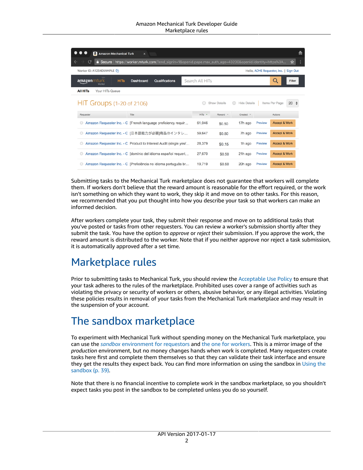| <b>a</b> Amazon Mechanical Turk<br>$\times$                                                                           |                      |                     |                     |         | 츪                                                |  |
|-----------------------------------------------------------------------------------------------------------------------|----------------------|---------------------|---------------------|---------|--------------------------------------------------|--|
| <b>a Secure</b>   https://worker.mturk.com/?end_signin=1&openid.pape.max_auth_age=43200&openid.identity=https%3A<br>C |                      |                     |                     |         | ☆                                                |  |
| Worker ID: A1234EXAMPLE CPI                                                                                           |                      |                     |                     |         | Hello, ACME Requester, Inc.  <br><b>Sign Out</b> |  |
| amazonmturk<br><b>HITs</b><br>Dashboard<br>Qualifications<br>Worker                                                   | Search All HITs      |                     |                     |         | Q<br>Filter                                      |  |
| <b>All HITs</b><br>Your HITs Queue                                                                                    |                      |                     |                     |         |                                                  |  |
| <b>HIT Groups (1-20 of 2106)</b>                                                                                      |                      | <b>Show Details</b> | <b>Hide Details</b> |         | $20 \div$<br>Items Per Page:                     |  |
| Requester<br>Title                                                                                                    | $HITs$ $\rightarrow$ | Reward              | $Create \neg$       |         | Actions                                          |  |
| Amazon Requester Inc. - C [French language proficiency requir                                                         | 61,046               | \$0.50              | 17h ago             | Preview | <b>Accept &amp; Work</b>                         |  |
| Amazon Requester Inc. - C [日本語能力が必要]商品のインタレ<br>$\circ$                                                                | 59.647               | \$0.50              | 7h ago              | Preview | <b>Accept &amp; Work</b>                         |  |
| Amazon Requester Inc. - C Product to Interest Audit (single yes/                                                      | 28,379               | \$0.15              | 1h ago              | Preview | <b>Accept &amp; Work</b>                         |  |
| Amazon Requester Inc. - C [dominio del idioma español requeri                                                         | 27,670               | \$0.50              | 21h ago             | Preview | <b>Accept &amp; Work</b>                         |  |
| Amazon Requester Inc. - C [Proficiência no idioma português br                                                        | 19,719               | \$0.50              | 20h ago             | Preview | <b>Accept &amp; Work</b>                         |  |

Submitting tasks to the Mechanical Turk marketplace does not guarantee that workers will complete them. If workers don't believe that the reward amount is reasonable for the effort required, or the work isn't something on which they want to work, they skip it and move on to other tasks. For this reason, we recommended that you put thought into how you describe your task so that workers can make an informed decision.

After workers complete your task, they submit their response and move on to additional tasks that you've posted or tasks from other requesters. You can review a worker's submission shortly after they submit the task. You have the option to *approve* or *reject* their submission. If you approve the work, the reward amount is distributed to the worker. Note that if you neither approve nor reject a task submission, it is automatically approved after a set time.

## <span id="page-5-0"></span>Marketplace rules

Prior to submitting tasks to Mechanical Turk, you should review the [Acceptable](https://www.mturk.com/acceptable-use-policy) Use Policy to ensure that your task adheres to the rules of the marketplace. Prohibited uses cover a range of activities such as violating the privacy or security of workers or others, abusive behavior, or any illegal activities. Violating these policies results in removal of your tasks from the Mechanical Turk marketplace and may result in the suspension of your account.

### <span id="page-5-1"></span>The sandbox marketplace

To experiment with Mechanical Turk without spending money on the Mechanical Turk marketplace, you can use the *sandbox* [environment](https://requestersandbox.mturk.com) for requestors and the one for [workers.](https://workersandbox.mturk.com) This is a mirror image of the *production* environment, but no money changes hands when work is completed. Many requesters create tasks here first and complete them themselves so that they can validate their task interface and ensure they get the results they expect back. You can find more information on using the sandbox in [Using the](#page-42-3) [sandbox \(p. 39\).](#page-42-3)

Note that there is no financial incentive to complete work in the sandbox marketplace, so you shouldn't expect tasks you post in the sandbox to be completed unless you do so yourself.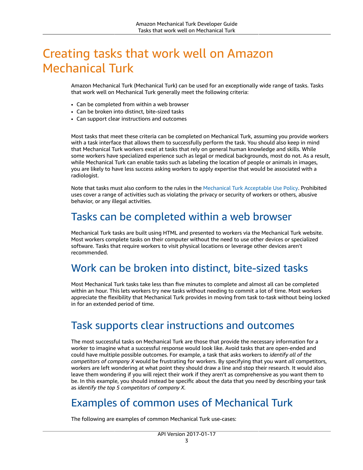# <span id="page-6-0"></span>Creating tasks that work well on Amazon Mechanical Turk

Amazon Mechanical Turk (Mechanical Turk) can be used for an exceptionally wide range of tasks. Tasks that work well on Mechanical Turk generally meet the following criteria:

- Can be completed from within a web browser
- Can be broken into distinct, bite-sized tasks
- Can support clear instructions and outcomes

Most tasks that meet these criteria can be completed on Mechanical Turk, assuming you provide workers with a task interface that allows them to successfully perform the task. You should also keep in mind that Mechanical Turk workers excel at tasks that rely on general human knowledge and skills. While some workers have specialized experience such as legal or medical backgrounds, most do not. As a result, while Mechanical Turk can enable tasks such as labeling the location of people or animals in images, you are likely to have less success asking workers to apply expertise that would be associated with a radiologist.

Note that tasks must also conform to the rules in the [Mechanical](https://www.mturk.com/acceptable-use-policy) Turk Acceptable Use Policy. Prohibited uses cover a range of activities such as violating the privacy or security of workers or others, abusive behavior, or any illegal activities.

### <span id="page-6-1"></span>Tasks can be completed within a web browser

Mechanical Turk tasks are built using HTML and presented to workers via the Mechanical Turk website. Most workers complete tasks on their computer without the need to use other devices or specialized software. Tasks that require workers to visit physical locations or leverage other devices aren't recommended.

## <span id="page-6-2"></span>Work can be broken into distinct, bite-sized tasks

Most Mechanical Turk tasks take less than five minutes to complete and almost all can be completed within an hour. This lets workers try new tasks without needing to commit a lot of time. Most workers appreciate the flexibility that Mechanical Turk provides in moving from task to-task without being locked in for an extended period of time.

### <span id="page-6-3"></span>Task supports clear instructions and outcomes

The most successful tasks on Mechanical Turk are those that provide the necessary information for a worker to imagine what a successful response would look like. Avoid tasks that are open-ended and could have multiple possible outcomes. For example, a task that asks workers to *identify all of the competitors of company X* would be frustrating for workers. By specifying that you want *all* competitors, workers are left wondering at what point they should draw a line and stop their research. It would also leave them wondering if you will reject their work if they aren't as comprehensive as you want them to be. In this example, you should instead be specific about the data that you need by describing your task as *identify the top 5 competitors of company X*.

## <span id="page-6-4"></span>Examples of common uses of Mechanical Turk

The following are examples of common Mechanical Turk use-cases: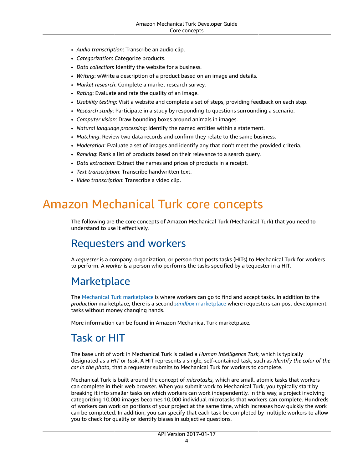- *Audio transcription*: Transcribe an audio clip.
- *Categorization*: Categorize products.
- *Data collection*: Identify the website for a business.
- *Writing*: wWrite a description of a product based on an image and details.
- *Market research*: Complete a market research survey.
- *Rating*: Evaluate and rate the quality of an image.
- *Usability testing*: Visit a website and complete a set of steps, providing feedback on each step.
- *Research study*: Participate in a study by responding to questions surrounding a scenario.
- *Computer vision*: Draw bounding boxes around animals in images.
- *Natural language processing*: Identify the named entities within a statement.
- *Matching*: Review two data records and confirm they relate to the same business.
- *Moderation*: Evaluate a set of images and identify any that don't meet the provided criteria.
- *Ranking*: Rank a list of products based on their relevance to a search query.
- *Data extraction*: Extract the names and prices of products in a receipt.
- *Text transcription*: Transcribe handwritten text.
- *Video transcription*: Transcribe a video clip.

# <span id="page-7-0"></span>Amazon Mechanical Turk core concepts

The following are the core concepts of Amazon Mechanical Turk (Mechanical Turk) that you need to understand to use it effectively.

### <span id="page-7-1"></span>Requesters and workers

A *requester* is a company, organization, or person that posts tasks (HITs) to Mechanical Turk for workers to perform. A *worker* is a person who performs the tasks specified by a tequester in a HIT.

## <span id="page-7-2"></span>**Marketplace**

The Mechanical Turk [marketplace](https://worker.mturk.com) is where workers can go to find and accept tasks. In addition to the *production* marketplace, there is a second *sandbox* [marketplace](https://workersandbox.mturk.com) where requesters can post development tasks without money changing hands.

More information can be found in Amazon Mechanical Turk marketplace.

## <span id="page-7-3"></span>Task or HIT

The base unit of work in Mechanical Turk is called a *Human Intelligence Task*, which is typically designated as a *HIT* or *task*. A HIT represents a single, self-contained task, such as *Identify the color of the car in the photo*, that a requester submits to Mechanical Turk for workers to complete.

Mechanical Turk is built around the concept of *microtasks,* which are small, atomic tasks that workers can complete in their web browser. When you submit work to Mechanical Turk, you typically start by breaking it into smaller tasks on which workers can work independently. In this way, a project involving categorizing 10,000 images becomes 10,000 individual microtasks that workers can complete. Hundreds of workers can work on portions of your project at the same time, which increases how quickly the work can be completed. In addition, you can specify that each task be completed by multiple workers to allow you to check for quality or identify biases in subjective questions.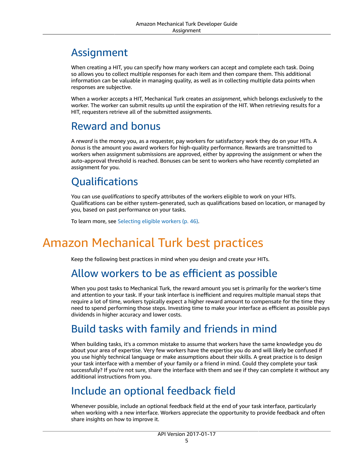# <span id="page-8-0"></span>Assignment

When creating a HIT, you can specify how many workers can accept and complete each task. Doing so allows you to collect multiple responses for each item and then compare them. This additional information can be valuable in managing quality, as well as in collecting multiple data points when responses are subjective.

When a worker accepts a HIT, Mechanical Turk creates an *assignment*, which belongs exclusively to the worker. The worker can submit results up until the expiration of the HIT. When retrieving results for a HIT, requesters retrieve all of the submitted assignments.

### <span id="page-8-1"></span>Reward and bonus

A *reward* is the money you, as a requester, pay workers for satisfactory work they do on your HITs. A *bonus* is the amount you award workers for high-quality performance. Rewards are transmitted to workers when assignment submissions are approved, either by approving the assignment or when the auto-approval threshold is reached. Bonuses can be sent to workers who have recently completed an assignment for you.

# <span id="page-8-2"></span>**Oualifications**

You can use *qualifications* to specify attributes of the workers eligible to work on your HITs. Qualifications can be either system-generated, such as qualifications based on location, or managed by you, based on past performance on your tasks.

To learn more, see [Selecting](#page-49-1) eligible worker[s \(p. 46\)](#page-49-1).

# <span id="page-8-4"></span><span id="page-8-3"></span>Amazon Mechanical Turk best practices

Keep the following best practices in mind when you design and create your HITs.

### Allow workers to be as efficient as possible

When you post tasks to Mechanical Turk, the reward amount you set is primarily for the worker's time and attention to your task. If your task interface is inefficient and requires multiple manual steps that require a lot of time, workers typically expect a higher reward amount to compensate for the time they need to spend performing those steps. Investing time to make your interface as efficient as possible pays dividends in higher accuracy and lower costs.

# <span id="page-8-5"></span>Build tasks with family and friends in mind

When building tasks, it's a common mistake to assume that workers have the same knowledge you do about your area of expertise. Very few workers have the expertise you do and will likely be confused if you use highly technical language or make assumptions about their skills. A great practice is to design your task interface with a member of your family or a friend in mind. Could they complete your task successfully? If you're not sure, share the interface with them and see if they can complete it without any additional instructions from you.

# <span id="page-8-6"></span>Include an optional feedback field

Whenever possible, include an optional feedback field at the end of your task interface, particularly when working with a new interface. Workers appreciate the opportunity to provide feedback and often share insights on how to improve it.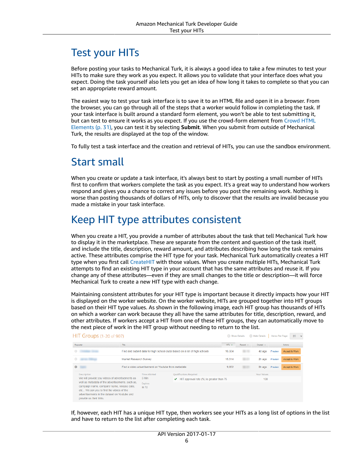# <span id="page-9-0"></span>Test your HITs

Before posting your tasks to Mechanical Turk, it is always a good idea to take a few minutes to test your HITs to make sure they work as you expect. It allows you to validate that your interface does what you expect. Doing the task yourself also lets you get an idea of how long it takes to complete so that you can set an appropriate reward amount.

The easiest way to test your task interface is to save it to an HTML file and open it in a browser. From the browser, you can go through all of the steps that a worker would follow in completing the task. If your task interface is built around a standard form element, you won't be able to test submitting it, but can test to ensure it works as you expect. If you use the crowd-form element from [Crowd](#page-34-0) HTML [Elements \(p. 31\),](#page-34-0) you can test it by selecting **Submit**. When you submit from outside of Mechanical Turk, the results are displayed at the top of the window.

To fully test a task interface and the creation and retrieval of HITs, you can use the sandbox environment.

### <span id="page-9-1"></span>Start small

When you create or update a task interface, it's always best to start by posting a small number of HITs first to confirm that workers complete the task as you expect. It's a great way to understand how workers respond and gives you a chance to correct any issues before you post the remaining work. Nothing is worse than posting thousands of dollars of HITs, only to discover that the results are invalid because you made a mistake in your task interface.

## <span id="page-9-2"></span>Keep HIT type attributes consistent

When you create a HIT, you provide a number of attributes about the task that tell Mechanical Turk how to display it in the marketplace. These are separate from the content and question of the task itself, and include the title, description, reward amount, and attributes describing how long the task remains active. These attributes comprise the HIT type for your task. Mechanical Turk automatically creates a HIT type when you first call [CreateHIT](https://docs.aws.amazon.com/AWSMechTurk/latest/AWSMturkAPI/ApiReference_CreateHITOperation.html) with those values. When you create multiple HITs, Mechanical Turk attempts to find an existing HIT type in your account that has the same attributes and reuse it. If you change any of these attributes—even if they are small changes to the title or description—it will force Mechanical Turk to create a new HIT type with each change.

Maintaining consistent attributes for your HIT type is important because it directly impacts how your HIT is displayed on the worker website. On the worker website, HITs are grouped together into HIT groups based on their HIT type values. As shown in the following image, each HIT group has thousands of HITs on which a worker can work because they all have the same attributes for title, description, reward, and other attributes. If workers accept a HIT from one of these HIT groups, they can automatically move to the next piece of work in the HIT group without needing to return to the list.

|           | HIT Groups (1-20 of 907)                                                                                                                                                                                              |                        |                                                        |                                                                            | Show Details |          | <b>C</b> Hide Details | Items Per Page: |               | 20<br>$\sim$ |
|-----------|-----------------------------------------------------------------------------------------------------------------------------------------------------------------------------------------------------------------------|------------------------|--------------------------------------------------------|----------------------------------------------------------------------------|--------------|----------|-----------------------|-----------------|---------------|--------------|
|           | Requester                                                                                                                                                                                                             | Title                  |                                                        |                                                                            | HITS Y       | Reward - | Created -             |                 | Actions       |              |
| $\circ$   |                                                                                                                                                                                                                       |                        |                                                        | Find and submit data for high school clubs based on a list of high schools | 16,504       |          | 4d ago                | Preview         | Accept & Work |              |
|           |                                                                                                                                                                                                                       | Market Research Survey |                                                        |                                                                            | 15.314       |          | 2h ago                | Preview         | Accept & Work |              |
| $\bullet$ |                                                                                                                                                                                                                       |                        | Find a video advertisement on Youtube from metadata    |                                                                            | 9.852        |          | 8h ago                | Preview         | Accept & Work |              |
|           | <b>Description</b>                                                                                                                                                                                                    |                        | <b>Time Allotted</b>                                   | Qualifications Required                                                    |              |          | <b>Your Values</b>    |                 |               |              |
|           | We will provide you videos of advertisements as                                                                                                                                                                       |                        | 5 Min<br>HIT approval rate (%) is greater than 75<br>✓ |                                                                            |              |          | 100                   |                 |               |              |
|           | well as metadata of the advertisements, such as,<br>campaign name, company name, release date,<br>etc We ask you to find the videos of the<br>advertisements in the dataset on Youtube and<br>provide us their links. |                        | <b>Expires</b><br>in 7d                                |                                                                            |              |          |                       |                 |               |              |

If, however, each HIT has a unique HIT type, then workers see your HITs as a long list of options in the list and have to return to the list after completing each task.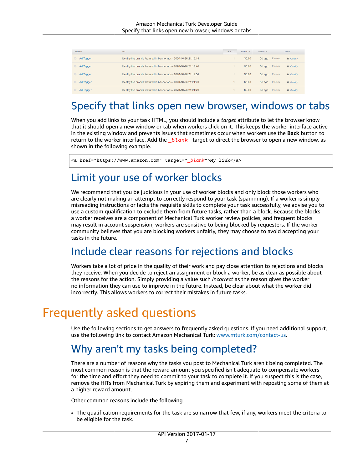| Requester | Title                                                             | HITs A | Reward = | Created v |         | Actions   |
|-----------|-------------------------------------------------------------------|--------|----------|-----------|---------|-----------|
| Ad Tagger | Identify the brands featured in banner ads - 2020-10-26 21:19:18. |        | \$0.60   | 5d ago    | Preview | A Qualify |
| Ad Tagger | Identify the brands featured in banner ads - 2020-10-26 21:19:40. |        | \$0.60   | 5d ago    | Preview | A Qualify |
| Ad Tagger | Identify the brands featured in banner ads - 2020-10-26 21:19:54. |        | \$0.60   | 5d ago    | Preview | A Qualify |
| Ad Tagger | Identify the brands featured in banner ads - 2020-10-26 21:21:23. |        | \$0.60   | 5d ago    | Preview | A Qualify |
| Ad Tagger | Identify the brands featured in banner ads - 2020-10-26 21:21:49. |        | \$0.60   | 5d ago    | Preview | A Qualify |

## <span id="page-10-0"></span>Specify that links open new browser, windows or tabs

When you add links to your task HTML, you should include a *target* attribute to let the browser know that it should open a new window or tab when workers click on it. This keeps the worker interface active in the existing window and prevents issues that sometimes occur when workers use the **Back** button to return to the worker interface. Add the *\_blank* target to direct the browser to open a new window, as shown in the following example.

<a href="https://www.amazon.com" target="*\_blank*">My link</a>

## <span id="page-10-1"></span>Limit your use of worker blocks

We recommend that you be judicious in your use of worker blocks and only block those workers who are clearly not making an attempt to correctly respond to your task (spamming). If a worker is simply misreading instructions or lacks the requisite skills to complete your task successfully, we advise you to use a custom qualification to exclude them from future tasks, rather than a block. Because the blocks a worker receives are a component of Mechanical Turk worker review policies, and frequent blocks may result in account suspension, workers are sensitive to being blocked by requesters. If the worker community believes that you are blocking workers unfairly, they may choose to avoid accepting your tasks in the future.

### <span id="page-10-2"></span>Include clear reasons for rejections and blocks

Workers take a lot of pride in the quality of their work and pay close attention to rejections and blocks they receive. When you decide to reject an assignment or block a worker, be as clear as possible about the reasons for the action. Simply providing a value such *incorrect* as the reason gives the worker no information they can use to improve in the future. Instead, be clear about what the worker did incorrectly. This allows workers to correct their mistakes in future tasks.

# <span id="page-10-3"></span>Frequently asked questions

Use the following sections to get answers to frequently asked questions. If you need additional support, use the following link to contact Amazon Mechanical Turk: [www.mturk.com/contact-us](http://www.mturk.com/contact-us).

### <span id="page-10-4"></span>Why aren't my tasks being completed?

There are a number of reasons why the tasks you post to Mechanical Turk aren't being completed. The most common reason is that the reward amount you specified isn't adequate to compensate workers for the time and effort they need to commit to your task to complete it. If you suspect this is the case, remove the HITs from Mechanical Turk by expiring them and experiment with reposting some of them at a higher reward amount.

Other common reasons include the following.

• The qualification requirements for the task are so narrow that few, if any, workers meet the criteria to be eligible for the task.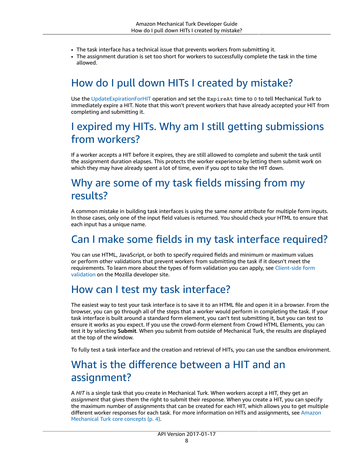- The task interface has a technical issue that prevents workers from submitting it.
- The assignment duration is set too short for workers to successfully complete the task in the time allowed.

# <span id="page-11-0"></span>How do I pull down HITs I created by mistake?

Use the [UpdateExpirationForHIT](https://docs.aws.amazon.com/AWSMechTurk/latest/AWSMturkAPI/ApiReference_UpdateExpirationForHITOperation.html) operation and set the ExpireAt time to 0 to tell Mechanical Turk to immediately expire a HIT. Note that this won't prevent workers that have already accepted your HIT from completing and submitting it.

# <span id="page-11-1"></span>I expired my HITs. Why am I still getting submissions from workers?

If a worker accepts a HIT before it expires, they are still allowed to complete and submit the task until the assignment duration elapses. This protects the worker experience by letting them submit work on which they may have already spent a lot of time, even if you opt to take the HIT down.

# <span id="page-11-2"></span>Why are some of my task fields missing from my results?

A common mistake in building task interfaces is using the same *name* attribute for multiple form inputs. In those cases, only one of the input field values is returned. You should check your HTML to ensure that each input has a unique name.

# <span id="page-11-3"></span>Can I make some fields in my task interface required?

You can use HTML, JavaScript, or both to specify required fields and minimum or maximum values or perform other validations that prevent workers from submitting the task if it doesn't meet the requirements. To learn more about the types of form validation you can apply, see [Client-side](https://developer.mozilla.org/en-US/docs/Learn/Forms/Form_validation) form [validation](https://developer.mozilla.org/en-US/docs/Learn/Forms/Form_validation) on the Mozilla developer site.

## <span id="page-11-4"></span>How can I test my task interface?

The easiest way to test your task interface is to save it to an HTML file and open it in a browser. From the browser, you can go through all of the steps that a worker would perform in completing the task. If your task interface is built around a standard form element, you can't test submitting it, but you can test to ensure it works as you expect. If you use the crowd-form element from Crowd HTML Elements, you can test it by selecting **Submit**. When you submit from outside of Mechanical Turk, the results are displayed at the top of the window.

To fully test a task interface and the creation and retrieval of HITs, you can use the sandbox environment.

## <span id="page-11-5"></span>What is the difference between a HIT and an assignment?

A *HIT* is a single task that you create in Mechanical Turk. When workers accept a HIT, they get an *assignment* that gives them the right to submit their response. When you create a HIT, you can specify the maximum number of assignments that can be created for each HIT, which allows you to get multiple different worker responses for each task. For more information on HITs and assignments, see [Amazon](#page-7-0) [Mechanical](#page-7-0) Turk core concepts [\(p. 4\)](#page-7-0).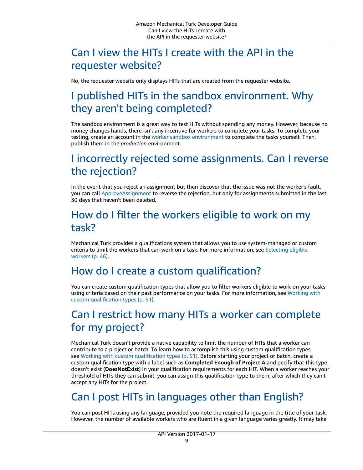## <span id="page-12-0"></span>Can I view the HITs I create with the API in the requester website?

No, the requester website only displays HITs that are created from the requester website.

# <span id="page-12-1"></span>I published HITs in the sandbox environment. Why they aren't being completed?

The sandbox environment is a great way to test HITs without spending any money. However, because no money changes hands, there isn't any incentive for workers to complete your tasks. To complete your testing, create an account in the worker sandbox [environment](https://workersandbox.mturk.com) to complete the tasks yourself. Then, publish them in the *production* environment.

# <span id="page-12-2"></span>I incorrectly rejected some assignments. Can I reverse the rejection?

In the event that you reject an assignment but then discover that the issue was not the worker's fault, you can call [ApproveAssignment](https://docs.aws.amazon.com/AWSMechTurk/latest/AWSMturkAPI/ApiReference_ApproveAssignmentOperation.html) to reverse the rejection, but only for assignments submitted in the last 30 days that haven't been deleted.

## <span id="page-12-3"></span>How do I filter the workers eligible to work on my task?

Mechanical Turk provides a qualifications system that allows you to use system-managed or custom criteria to limit the workers that can work on a task. For more information, see [Selecting](#page-49-1) eligible [workers \(p. 46\).](#page-49-1)

## <span id="page-12-4"></span>How do I create a custom qualification?

You can create custom qualification types that allow you to filter workers eligible to work on your tasks using criteria based on their past performance on your tasks. For more information, see [Working](#page-54-0) with custom [qualification](#page-54-0) types [\(p. 51\)](#page-54-0).

# <span id="page-12-5"></span>Can I restrict how many HITs a worker can complete for my project?

Mechanical Turk doesn't provide a native capability to limit the number of HITs that a worker can contribute to a project or batch. To learn how to accomplish this using custom qualification types, see Working with custom [qualification](#page-54-0) type[s \(p. 51\)](#page-54-0). Before starting your project or batch, create a custom qualification type with a label such as **Completed Enough of Project A** and pecify that this type doesn't exist (**DoesNotExist**) in your qualification requirements for each HIT. When a worker reaches your threshold of HITs they can submit, you can assign this qualification type to them, after which they can't accept any HITs for the project.

# <span id="page-12-6"></span>Can I post HITs in languages other than English?

You can post HITs using any language, provided you note the required language in the title of your task. However, the number of available workers who are fluent in a given language varies greatly. It may take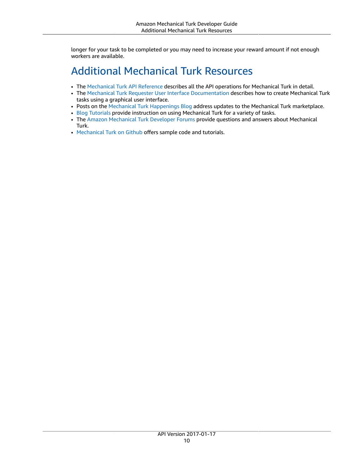longer for your task to be completed or you may need to increase your reward amount if not enough workers are available.

# <span id="page-13-0"></span>Additional Mechanical Turk Resources

- The [Mechanical](https://docs.aws.amazon.com/AWSMechTurk/latest/AWSMturkAPI/index.html) Turk API Reference describes all the API operations for Mechanical Turk in detail.
- The Mechanical Turk Requester User Interface [Documentation](https://docs.aws.amazon.com/AWSMechTurk/latest/RequesterUI/index.html) describes how to create Mechanical Turk tasks using a graphical user interface.
- Posts on the Mechanical Turk [Happenings](https://blog.mturk.com/) Blog address updates to the Mechanical Turk marketplace.
- Blog [Tutorials](https://blog.mturk.com/tutorials/home) provide instruction on using Mechanical Turk for a variety of tasks.
- The Amazon [Mechanical](https://developer.amazonwebservices.com/connect/forum.jspa?forumID=11) Turk Developer Forums provide questions and answers about Mechanical Turk.
- [Mechanical](https://github.com/awslabs/mturk-api-samples) Turk on Github offers sample code and tutorials.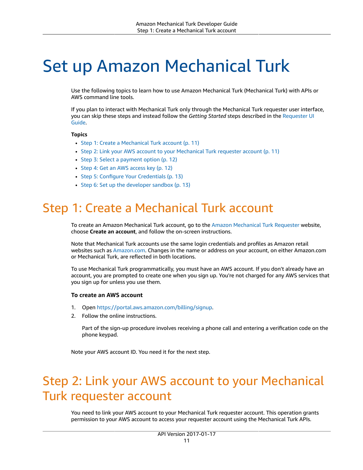# <span id="page-14-0"></span>Set up Amazon Mechanical Turk

Use the following topics to learn how to use Amazon Mechanical Turk (Mechanical Turk) with APIs or AWS command line tools.

If you plan to interact with Mechanical Turk only through the Mechanical Turk requester user interface, you can skip these steps and instead follow the *Getting Started* steps described in the [Requester](https://docs.aws.amazon.com/AWSMechTurk/latest/RequesterUI/GettingStarted.html) UI [Guide](https://docs.aws.amazon.com/AWSMechTurk/latest/RequesterUI/GettingStarted.html).

#### **Topics**

- Step 1: Create a Mechanical Turk [account \(p. 11\)](#page-14-1)
- Step 2: Link your AWS account to your Mechanical Turk requester [account \(p. 11\)](#page-14-2)
- Step 3: Select a payment [option \(p. 12\)](#page-15-0)
- Step 4: Get an AWS access [key \(p. 12\)](#page-15-1)
- Step 5: Configure Your [Credentials \(p. 13\)](#page-16-0)
- Step 6: Set up the developer [sandbox \(p. 13\)](#page-16-1)

# <span id="page-14-1"></span>Step 1: Create a Mechanical Turk account

To create an Amazon Mechanical Turk account, go to the Amazon [Mechanical](https://requester.mturk.com/) Turk Requester website, choose **Create an account**, and follow the on-screen instructions.

Note that Mechanical Turk accounts use the same login credentials and profiles as Amazon retail websites such as [Amazon.com.](http://amazon.com/) Changes in the name or address on your account, on either Amazon.com or Mechanical Turk, are reflected in both locations.

To use Mechanical Turk programmatically, you must have an AWS account. If you don't already have an account, you are prompted to create one when you sign up. You're not charged for any AWS services that you sign up for unless you use them.

#### **To create an AWS account**

- 1. Open [https://portal.aws.amazon.com/billing/signup.](https://portal.aws.amazon.com/billing/signup)
- 2. Follow the online instructions.

Part of the sign-up procedure involves receiving a phone call and entering a verification code on the phone keypad.

Note your AWS account ID. You need it for the next step.

# <span id="page-14-2"></span>Step 2: Link your AWS account to your Mechanical Turk requester account

You need to link your AWS account to your Mechanical Turk requester account. This operation grants permission to your AWS account to access your requester account using the Mechanical Turk APIs.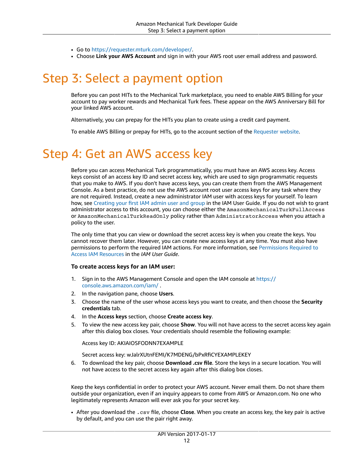- Go to https://requester.mturk.com/developer/.
- Choose **Link your AWS Account** and sign in with your AWS root user email address and password.

# <span id="page-15-0"></span>Step 3: Select a payment option

Before you can post HITs to the Mechanical Turk marketplace, you need to enable AWS Billing for your account to pay worker rewards and Mechanical Turk fees. These appear on the AWS Anniversary Bill for your linked AWS account.

Alternatively, you can prepay for the HITs you plan to create using a credit card payment.

To enable AWS Billing or prepay for HITs, go to the account section of the [Requester](https://requester.mturk.com/account) website.

# <span id="page-15-1"></span>Step 4: Get an AWS access key

Before you can access Mechanical Turk programmatically, you must have an AWS access key. Access keys consist of an access key ID and secret access key, which are used to sign programmatic requests that you make to AWS. If you don't have access keys, you can create them from the AWS Management Console. As a best practice, do not use the AWS account root user access keys for any task where they are not required. Instead, create a new administrator IAM user with access keys for yourself. To learn how, see [Creating](https://docs.aws.amazon.com/IAM/latest/UserGuide/getting-started_create-admin-group.html) your first IAM admin user and group in the IAM User Guide. If you do not wish to grant administrator access to this account, you can choose either the AmazonMechanicalTurkFullAccess or AmazonMechanicalTurkReadOnly policy rather than AdministratorAccess when you attach a policy to the user.

The only time that you can view or download the secret access key is when you create the keys. You cannot recover them later. However, you can create new access keys at any time. You must also have permissions to perform the required IAM actions. For more information, see [Permissions](https://docs.aws.amazon.com/IAM/latest/UserGuide/access_permissions-required.html) Required to Access IAM [Resources](https://docs.aws.amazon.com/IAM/latest/UserGuide/access_permissions-required.html) in the *IAM User Guide*.

#### **To create access keys for an IAM user:**

- 1. Sign in to the AWS Management Console and open the IAM console at https:// console.aws.amazon.com/iam/ .
- 2. In the navigation pane, choose **Users**.
- 3. Choose the name of the user whose access keys you want to create, and then choose the **Security credentials** tab.
- 4. In the **Access keys** section, choose **Create access key**.
- 5. To view the new access key pair, choose **Show**. You will not have access to the secret access key again after this dialog box closes. Your credentials should resemble the following example:

Access key ID: AKIAIOSFODNN7EXAMPLE

Secret access key: wJalrXUtnFEMI/K7MDENG/bPxRfiCYEXAMPLEKEY

6. To download the key pair, choose **Download .csv file**. Store the keys in a secure location. You will not have access to the secret access key again after this dialog box closes.

Keep the keys confidential in order to protect your AWS account. Never email them. Do not share them outside your organization, even if an inquiry appears to come from AWS or Amazon.com. No one who legitimately represents Amazon will ever ask you for your secret key.

• After you download the .csv file, choose **Close**. When you create an access key, the key pair is active by default, and you can use the pair right away.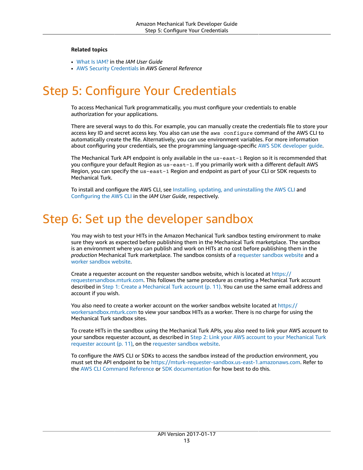#### **Related topics**

- [What Is IAM?](https://docs.aws.amazon.com/IAM/latest/UserGuide/introduction.html) in the *IAM User Guide*
- AWS Security [Credentials](https://docs.aws.amazon.com/general/latest/gr/aws-security-credentials.html) in *AWS General Reference*

# <span id="page-16-0"></span>Step 5: Configure Your Credentials

To access Mechanical Turk programmatically, you must configure your credentials to enable authorization for your applications.

There are several ways to do this. For example, you can manually create the credentials file to store your access key ID and secret access key. You also can use the aws configure command of the AWS CLI to automatically create the file. Alternatively, you can use environment variables. For more information about configuring your credentials, see the programming language-specific AWS SDK [developer](https://aws.amazon.com/tools/) guide.

The Mechanical Turk API endpoint is only available in the us-east-1 Region so it is recommended that you configure your default Region as us-east-1. If you primarily work with a different default AWS Region, you can specify the us-east-1 Region and endpoint as part of your CLI or SDK requests to Mechanical Turk.

To install and configure the AWS CLI, see Installing, updating, and [uninstalling](https://docs.aws.amazon.com/cli/latest/userguide/cli-chap-install.html) the AWS CLI and [Configuring](https://docs.aws.amazon.com/cli/latest/userguide/cli-chap-configure.html) the AWS CLI in the *IAM User Guide*, respectively.

# <span id="page-16-1"></span>Step 6: Set up the developer sandbox

You may wish to test your HITs in the Amazon Mechanical Turk sandbox testing environment to make sure they work as expected before publishing them in the Mechanical Turk marketplace. The sandbox is an environment where you can publish and work on HITs at no cost before publishing them in the *production* Mechanical Turk marketplace. The sandbox consists of a [requester](https://requestersandbox.mturk.com/) sandbox website and a worker [sandbox](https://workersandbox.mturk.com/) website.

Create a requester account on the requester sandbox website, which is located at [https://](https://requestersandbox.mturk.com) [requestersandbox.mturk.com.](https://requestersandbox.mturk.com) This follows the same procedure as creating a Mechanical Turk account described in Step 1: Create a [Mechanical](#page-14-1) Turk accoun[t \(p. 11\)](#page-14-1). You can use the same email address and account if you wish.

You also need to create a worker account on the worker sandbox website located at [https://](https://workersandbox.mturk.com) [workersandbox.mturk.com](https://workersandbox.mturk.com) to view your sandbox HITs as a worker. There is no charge for using the Mechanical Turk sandbox sites.

To create HITs in the sandbox using the Mechanical Turk APIs, you also need to link your AWS account to your sandbox requester account, as described in Step 2: Link your AWS account to your [Mechanical](#page-14-2) Turk [requester](#page-14-2) account [\(p. 11\),](#page-14-2) on the [requester](https://requestersandbox.mturk.com/developer) sandbox website.

To configure the AWS CLI or SDKs to access the sandbox instead of the production environment, you must set the API endpoint to be [https://mturk-requester-sandbox.us-east-1.amazonaws.com.](https://mturk-requester-sandbox.us-east-1.amazonaws.com) Refer to the AWS CLI [Command](https://aws.amazon.com/cli/) Reference or [SDK documentation](https://aws.amazon.com/tools/) for how best to do this.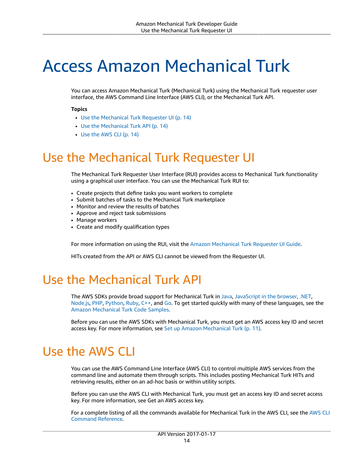# <span id="page-17-0"></span>Access Amazon Mechanical Turk

You can access Amazon Mechanical Turk (Mechanical Turk) using the Mechanical Turk requester user interface, the AWS Command Line Interface (AWS CLI), or the Mechanical Turk API.

#### **Topics**

- Use the [Mechanical](#page-17-1) Turk Requester UI (p. 14)
- Use the [Mechanical](#page-17-2) Turk API (p. 14)
- Use the AWS [CLI \(p. 14\)](#page-17-3)

# <span id="page-17-1"></span>Use the Mechanical Turk Requester UI

The Mechanical Turk Requester User Interface (RUI) provides access to Mechanical Turk functionality using a graphical user interface. You can use the Mechanical Turk RUI to:

- Create projects that define tasks you want workers to complete
- Submit batches of tasks to the Mechanical Turk marketplace
- Monitor and review the results of batches
- Approve and reject task submissions
- Manage workers
- Create and modify qualification types

For more information on using the RUI, visit the Amazon [Mechanical](https://docs.aws.amazon.com/AWSMechTurk/latest/RequesterUI/index.html) Turk Requester UI Guide.

HITs created from the API or AWS CLI cannot be viewed from the Requester UI.

# <span id="page-17-2"></span>Use the Mechanical Turk API

The AWS SDKs provide broad support for Mechanical Turk in [Java,](https://aws.amazon.com/sdk-for-java) [JavaScript](https://aws.amazon.com/sdk-for-browser) in the browser, [.NET](https://aws.amazon.com/sdk-for-net), [Node.js,](https://aws.amazon.com/sdk-for-node-js) [PHP](https://aws.amazon.com/sdk-for-php), [Python,](https://aws.amazon.com/sdk-for-python) [Ruby,](https://aws.amazon.com/sdk-for-ruby) [C++,](https://aws.amazon.com/sdk-for-cpp) and [Go](https://aws.amazon.com/sdk-for-go). To get started quickly with many of these languages, see the Amazon [Mechanical](https://github.com/aws-samples/mturk-code-samples) Turk Code Samples.

Before you can use the AWS SDKs with Mechanical Turk, you must get an AWS access key ID and secret access key. For more information, see Set up Amazon [Mechanical](#page-14-0) Tur[k \(p. 11\)](#page-14-0).

# <span id="page-17-3"></span>Use the AWS CLI

You can use the AWS Command Line Interface (AWS CLI) to control multiple AWS services from the command line and automate them through scripts. This includes posting Mechanical Turk HITs and retrieving results, either on an ad-hoc basis or within utility scripts.

Before you can use the AWS CLI with Mechanical Turk, you must get an access key ID and secret access key. For more information, see Get an AWS access key.

For a complete listing of all the commands available for Mechanical Turk in the AWS CLI, see the [AWS](https://docs.aws.amazon.com/cli/latest/reference/mturk/index.html) CLI [Command](https://docs.aws.amazon.com/cli/latest/reference/mturk/index.html) Reference.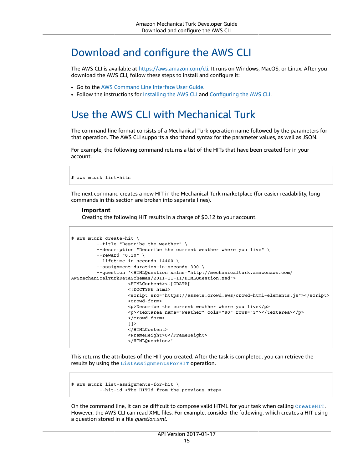## <span id="page-18-0"></span>Download and configure the AWS CLI

The AWS CLI is available at <https://aws.amazon.com/cli>. It runs on Windows, MacOS, or Linux. After you download the AWS CLI, follow these steps to install and configure it:

- Go to the AWS [Command](https://docs.aws.amazon.com/cli/latest/userguide/) Line Interface User Guide.
- Follow the instructions for [Installing](https://docs.aws.amazon.com/cli/latest/userguide/installing.html) the AWS CLI and [Configuring](https://docs.aws.amazon.com/cli/latest/userguide/cli-chap-getting-started.html) the AWS CLI.

### <span id="page-18-1"></span>Use the AWS CLI with Mechanical Turk

The command line format consists of a Mechanical Turk operation name followed by the parameters for that operation. The AWS CLI supports a shorthand syntax for the parameter values, as well as JSON.

For example, the following command returns a list of the HITs that have been created for in your account.

\$ aws mturk list-hits

The next command creates a new HIT in the Mechanical Turk marketplace (for easier readability, long commands in this section are broken into separate lines).

#### **Important**

Creating the following HIT results in a charge of \$0.12 to your account.

```
$ aws mturk create-hit \
               --title "Describe the weather" \
               --description "Describe the current weather where you live" \
               --reward "0.10" \
               --lifetime-in-seconds 14400 \
               --assignment-duration-in-seconds 300 \
               --question '<HTMLQuestion xmlns="http://mechanicalturk.amazonaws.com/
AWSMechanicalTurkDataSchemas/2011-11-11/HTMLQuestion.xsd">
                      <HTMLContent><![CDATA[
                      <!DOCTYPE html>
                      <script src="https://assets.crowd.aws/crowd-html-elements.js"></script>
                      <crowd-form>
                      <p>Describe the current weather where you live</p>
                      <p><textarea name="weather" cols="80" rows="3"></textarea></p>
                      </crowd-form>
                      ]]>
                      </HTMLContent>
                      <FrameHeight>0</FrameHeight>
                      </HTMLQuestion>'
```
This returns the attributes of the HIT you created. After the task is completed, you can retrieve the results by using the [ListAssignmentsForHIT](https://docs.aws.amazon.com/AWSMechTurk/latest/AWSMturkAPI/ApiReference_ListAssignmentsForHITOperation.html) operation.

```
$ aws mturk list-assignments-for-hit \
          --hit-id <The HITId from the previous step>
```
On the command line, it can be difficult to compose valid HTML for your task when calling [CreateHIT](https://docs.aws.amazon.com/AWSMechTurk/latest/AWSMturkAPI/ApiReference_CreateHITOperation.html). However, the AWS CLI can read XML files. For example, consider the following, which creates a HIT using a question stored in a file *question.xml*.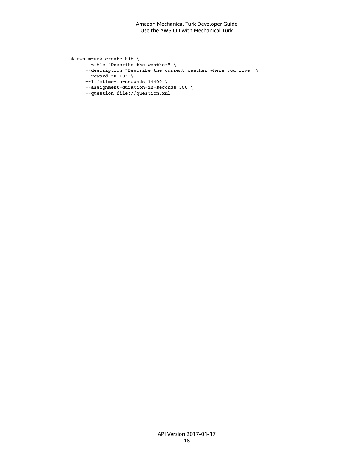```
$ aws mturk create-hit \
         --title "Describe the weather" \
         --description "Describe the current weather where you live" \
    --reward "0.10" \
          --lifetime-in-seconds 14400 \
          --assignment-duration-in-seconds 300 \
          --question file://question.xml
```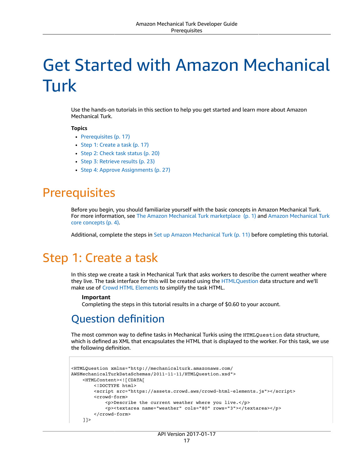# <span id="page-20-0"></span>Get Started with Amazon Mechanical Turk

Use the hands-on tutorials in this section to help you get started and learn more about Amazon Mechanical Turk.

#### **Topics**

- [Prerequisites \(p. 17\)](#page-20-1)
- Step 1: Create a [task \(p. 17\)](#page-20-2)
- [Step 2: Check task status \(p. 20\)](#page-23-0)
- Step 3: Retrieve [results \(p. 23\)](#page-26-0)
- Step 4: Approve [Assignments \(p. 27\)](#page-30-0)

### <span id="page-20-1"></span>**Prerequisites**

Before you begin, you should familiarize yourself with the basic concepts in Amazon Mechanical Turk. For more information, see The Amazon Mechanical Turk [marketplace \(p. 1\)](#page-4-1) and Amazon [Mechanical](#page-7-0) Turk core [concepts \(p. 4\)](#page-7-0).

Additional, complete the steps in Set up Amazon [Mechanical](#page-14-0) Turk [\(p. 11\)](#page-14-0) before completing this tutorial.

# <span id="page-20-2"></span>Step 1: Create a task

In this step we create a task in Mechanical Turk that asks workers to describe the current weather where they live. The task interface for this will be created using the [HTMLQuestion](https://docs.aws.amazon.com/AWSMechTurk/latest/AWSMturkAPI/ApiReference_HTMLQuestionArticle.html) data structure and we'll make use of Crowd HTML [Elements](https://docs.aws.amazon.com/AWSMechTurk/latest/AWSMturkAPI/ApiReference_HTMLQuestionArticle.html#ApiReference_HTMLQuestionArticle-crowd) to simplify the task HTML.

#### **Important**

Completing the steps in this tutorial results in a charge of \$0.60 to your account.

### <span id="page-20-3"></span>Question definition

The most common way to define tasks in Mechanical Turkis using the HTMLQuestion data structure, which is defined as XML that encapsulates the HTML that is displayed to the worker. For this task, we use the following definition.

```
<HTMLQuestion xmlns="http://mechanicalturk.amazonaws.com/
AWSMechanicalTurkDataSchemas/2011-11-11/HTMLQuestion.xsd">
     <HTMLContent><![CDATA[
         <!DOCTYPE html>
         <script src="https://assets.crowd.aws/crowd-html-elements.js"></script>
         <crowd-form>
             <p>Describe the current weather where you live.</p>
             <p><textarea name="weather" cols="80" rows="3"></textarea></p>
         </crowd-form>
     ]]>
```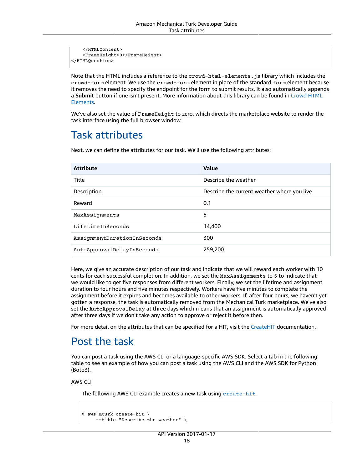```
 </HTMLContent>
     <FrameHeight>0</FrameHeight>
</HTMLQuestion>
```
Note that the HTML includes a reference to the crowd-html-elements. js library which includes the crowd-form element. We use the crowd-form element in place of the standard form element because it removes the need to specify the endpoint for the form to submit results. It also automatically appends a **Submit** button if one isn't present. More information about this library can be found in [Crowd](https://docs.aws.amazon.com/sagemaker/latest/dg/sms-ui-template-reference.html) HTML [Elements.](https://docs.aws.amazon.com/sagemaker/latest/dg/sms-ui-template-reference.html)

We've also set the value of FrameHeight to zero, which directs the marketplace website to render the task interface using the full browser window.

### <span id="page-21-0"></span>Task attributes

Next, we can define the attributes for our task. We'll use the following attributes:

| <b>Attribute</b>            | Value                                       |
|-----------------------------|---------------------------------------------|
| Title                       | Describe the weather                        |
| Description                 | Describe the current weather where you live |
| Reward                      | 0.1                                         |
| MaxAssignments              | 5                                           |
| LifetimeInSeconds           | 14,400                                      |
| AssignmentDurationInSeconds | 300                                         |
| AutoApprovalDelayInSeconds  | 259,200                                     |

Here, we give an accurate description of our task and indicate that we will reward each worker with 10 cents for each successful completion. In addition, we set the MaxAssignments to 5 to indicate that we would like to get five responses from different workers. Finally, we set the lifetime and assignment duration to four hours and five minutes respectively. Workers have five minutes to complete the assignment before it expires and becomes available to other workers. If, after four hours, we haven't yet gotten a response, the task is automatically removed from the Mechanical Turk marketplace. We've also set the AutoApprovalDelay at three days which means that an assignment is automatically approved after three days if we don't take any action to approve or reject it before then.

For more detail on the attributes that can be specified for a HIT, visit the [CreateHIT](https://docs.aws.amazon.com/AWSMechTurk/latest/AWSMturkAPI/ApiReference_CreateHITOperation.html) documentation.

## <span id="page-21-1"></span>Post the task

You can post a task using the AWS CLI or a language-specific AWS SDK. Select a tab in the following table to see an example of how you can post a task using the AWS CLI and the AWS SDK for Python (Boto3).

AWS CLI

The following AWS CLI example creates a new task using [create-hit](https://awscli.amazonaws.com/v2/documentation/api/latest/reference/mturk/create-hit.html).

```
$ aws mturk create-hit \
          --title "Describe the weather" \
```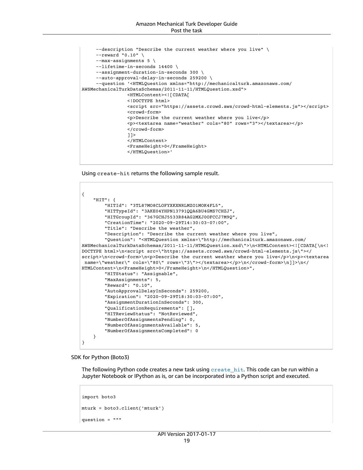#### Amazon Mechanical Turk Developer Guide Post the task

```
     --description "Describe the current weather where you live" \
          --reward "0.10" \
      --max-assignments 5 \
          --lifetime-in-seconds 14400 \
          --assignment-duration-in-seconds 300 \
          --auto-approval-delay-in-seconds 259200 \
          --question '<HTMLQuestion xmlns="http://mechanicalturk.amazonaws.com/
AWSMechanicalTurkDataSchemas/2011-11-11/HTMLQuestion.xsd">
                  <HTMLContent><![CDATA[
                  <!DOCTYPE html>
                  <script src="https://assets.crowd.aws/crowd-html-elements.js"></script>
                  <crowd-form>
                  <p>Describe the current weather where you live</p>
                  <p><textarea name="weather" cols="80" rows="3"></textarea></p>
                  </crowd-form>
                  ]]>
                  </HTMLContent>
                  <FrameHeight>0</FrameHeight>
                  </HTMLQuestion>'
```
Using create-hit returns the following sample result.

```
{
        "HIT": {
                 "HITId": "3TL87MO8CLOFYXKXNRLMZO1MOK4FL5",
                 "HITTypeId": "3AKE04YHPN13791QQA6BU4GMS7CHZJ",
                 "HITGroupId": "367GCHJ5533R84AG2MXJ0OFCCJ7M9Q",
                 "CreationTime": "2020-09-29T14:30:03-07:00",
                 "Title": "Describe the weather",
                 "Description": "Describe the current weather where you live",
                 "Question": "<HTMLQuestion xmlns=\"http://mechanicalturk.amazonaws.com/
AWSMechanicalTurkDataSchemas/2011-11-11/HTMLQuestion.xsd\">\n<HTMLContent><![CDATA[\n<!
DOCTYPE html>\n<script src=\"https://assets.crowd.aws/crowd-html-elements.js\"></
script>\n<crowd-form>\n<p>Describe the current weather where you live</p>\n<p><textarea
name=\"weather\" cols=\"80\" rows=\"3\"></textarea></p>\n</crowd-form>\n]]>\n</
HTMLContent>\n<FrameHeight>0</FrameHeight>\n</HTMLQuestion>",
                 "HITStatus": "Assignable",
                 "MaxAssignments": 5,
                 "Reward": "0.10",
                 "AutoApprovalDelayInSeconds": 259200,
                 "Expiration": "2020-09-29T18:30:03-07:00",
                 "AssignmentDurationInSeconds": 300,
                 "QualificationRequirements": [],
                 "HITReviewStatus": "NotReviewed",
                 "NumberOfAssignmentsPending": 0,
                 "NumberOfAssignmentsAvailable": 5,
                 "NumberOfAssignmentsCompleted": 0
        }
}
```
SDK for Python (Boto3)

The following Python code creates a new task using [create\\_hit](https://boto3.amazonaws.com/v1/documentation/api/latest/reference/services/mturk.html#MTurk.Client.create_hit). This code can be run within a Jupyter Notebook or IPython as is, or can be incorporated into a Python script and executed.

```
import boto3
mturk = boto3.client('mturk')
question = """
```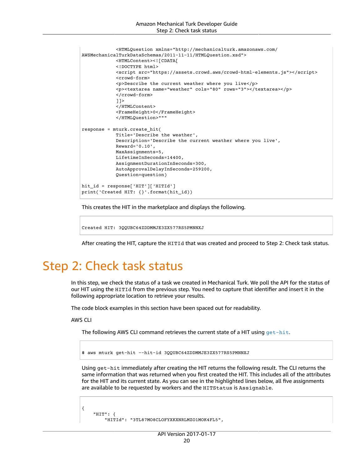```
 <HTMLQuestion xmlns="http://mechanicalturk.amazonaws.com/
AWSMechanicalTurkDataSchemas/2011-11-11/HTMLQuestion.xsd">
              <HTMLContent><![CDATA[
              <!DOCTYPE html>
              <script src="https://assets.crowd.aws/crowd-html-elements.js"></script>
              <crowd-form>
              <p>Describe the current weather where you live</p>
              <p><textarea name="weather" cols="80" rows="3"></textarea></p>
              </crowd-form>
              ]]>
              </HTMLContent>
              <FrameHeight>0</FrameHeight>
              </HTMLQuestion>"""
response = mturk.create_hit(
                  Title='Describe the weather',
                  Description='Describe the current weather where you live',
                 Reward='0.10',
                 MaxAssignments=5,
                 LifetimeInSeconds=14400,
                  AssignmentDurationInSeconds=300,
                  AutoApprovalDelayInSeconds=259200,
                  Question=question)
hit_id = response['HIT']['HITId']
print('Created HIT: {}'.format(hit_id))
```
This creates the HIT in the marketplace and displays the following.

Created HIT: 3QQUBC64ZDDMMJE3ZX577RS5PMNNXJ

After creating the HIT, capture the HITId that was created and proceed to Step 2: Check task status.

# <span id="page-23-0"></span>Step 2: Check task status

In this step, we check the status of a task we created in Mechanical Turk. We poll the API for the status of our HIT using the HITId from the previous step. You need to capture that identifier and insert it in the following appropriate location to retrieve your results.

The code block examples in this section have been spaced out for readability.

AWS CLI

The following AWS CLI command retrieves the current state of a HIT using [get-hit](https://awscli.amazonaws.com/v2/documentation/api/latest/reference/mturk/get-hit.html).

\$ aws mturk get-hit --hit-id 3QQUBC64ZDDMMJE3ZX577RS5PMNNXJ

Using get-hit immediately after creating the HIT returns the following result. The CLI returns the same information that was returned when you first created the HIT. This includes all of the attributes for the HIT and its current state. As you can see in the highlighted lines below, all five assignments are available to be requested by workers and the HITStatus is Assignable.

```
{
         "HIT": {
                  "HITId": "3TL87MO8CLOFYXKXNRLMZO1MOK4FL5",
```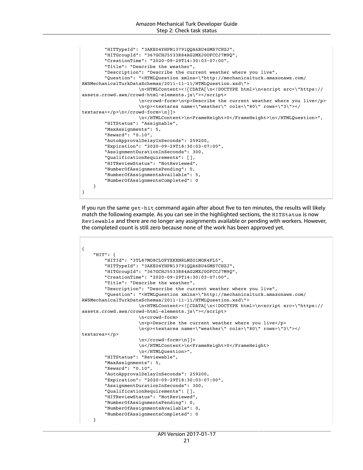```
        "HITTypeId": "3AKE04YHPN13791QQA6BU4GMS7CHZJ",
                 "HITGroupId": "367GCHJ5533R84AG2MXJ0OFCCJ7M9Q",
                 "CreationTime": "2020-09-29T14:30:03-07:00",
                 "Title": "Describe the weather",
                 "Description": "Describe the current weather where you live",
                 "Question": "<HTMLQuestion xmlns=\"http://mechanicalturk.amazonaws.com/
AWSMechanicalTurkDataSchemas/2011-11-11/HTMLQuestion.xsd\">
                        \n<HTMLContent><![CDATA[\n<!DOCTYPE html>\n<script src=\"https://
assets.crowd.aws/crowd-html-elements.js\"></script>
                       \nu<sub>2</sub> \n<crowd-form>\n<p>Describe the current weather where you live</p>
                        \n<p><textarea name=\"weather\" cols=\"80\" rows=\"3\"></
textarea></p>\n</crowd-form>\n]]>
                        \n</HTMLContent>\n<FrameHeight>0</FrameHeight>\n</HTMLQuestion>",
                 "HITStatus": "Assignable",
                 "MaxAssignments": 5,
                 "Reward": "0.10",
                 "AutoApprovalDelayInSeconds": 259200,
                 "Expiration": "2020-09-29T18:30:03-07:00",
                 "AssignmentDurationInSeconds": 300,
                 "QualificationRequirements": [],
                 "HITReviewStatus": "NotReviewed",
                 "NumberOfAssignmentsPending": 0,
                 "NumberOfAssignmentsAvailable": 5,
                 "NumberOfAssignmentsCompleted": 0
        }
}
```
If you run the same get-hit command again after about five to ten minutes, the results will likely match the following example. As you can see in the highlighted sections, the HITStatus is now Reviewable and there are no longer any assignments available or pending with workers. However, the completed count is still zero because none of the work has been approved yet.

```
{
        "HIT": {
                 "HITId": "3TL87MO8CLOFYXKXNRLMZO1MOK4FL5",
                 "HITTypeId": "3AKE04YHPN13791QQA6BU4GMS7CHZJ",
                 "HITGroupId": "367GCHJ5533R84AG2MXJ0OFCCJ7M9Q",
                 "CreationTime": "2020-09-29T14:30:03-07:00",
                 "Title": "Describe the weather",
                 "Description": "Describe the current weather where you live",
                 "Question": "<HTMLQuestion xmlns=\"http://mechanicalturk.amazonaws.com/
AWSMechanicalTurkDataSchemas/2011-11-11/HTMLQuestion.xsd\">
                        \n<HTMLContent><![CDATA[\n<!DOCTYPE html>\n<script src=\"https://
assets.crowd.aws/crowd-html-elements.js\"></script>
                        \n<crowd-form>
                        \n<p>Describe the current weather where you live</p>
                        \n<p><textarea name=\"weather\" cols=\"80\" rows=\"3\"></
textarea></p>
                        \n</crowd-form>\n]]>
                        \n</HTMLContent>\n<FrameHeight>0</FrameHeight>
                        \n</HTMLQuestion>",
                 "HITStatus": "Reviewable",
                 "MaxAssignments": 5,
                 "Reward": "0.10",
                 "AutoApprovalDelayInSeconds": 259200,
                 "Expiration": "2020-09-29T18:30:03-07:00",
                 "AssignmentDurationInSeconds": 300,
                 "QualificationRequirements": [],
                 "HITReviewStatus": "NotReviewed",
                 "NumberOfAssignmentsPending": 0,
                 "NumberOfAssignmentsAvailable": 0,
                 "NumberOfAssignmentsCompleted": 0
        }
```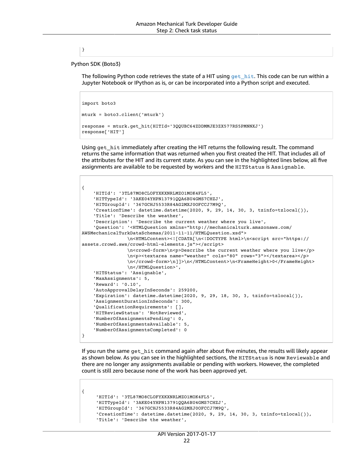}

Python SDK (Boto3)

The following Python code retrieves the state of a HIT using  $get$  hit. This code can be run within a Jupyter Notebook or IPython as is, or can be incorporated into a Python script and executed.

```
import boto3
mturk = boto3.client('mturk')
response = mturk.get_hit(HITId='3QQUBC64ZDDMMJE3ZX577RS5PMNNXJ')
response['HIT']
```
Using get hit immediately after creating the HIT returns the following result. The command returns the same information that was returned when you first created the HIT. That includes all of the attributes for the HIT and its current state. As you can see in the highlighted lines below, all five assignments are available to be requested by workers and the HITStatus is Assignable.

```
{
     'HITId': '3TL87MO8CLOFYXKXNRLMZO1MOK4FL5',
     'HITTypeId': '3AKE04YHPN13791QQA6BU4GMS7CHZJ',
     'HITGroupId': '367GCHJ5533R84AG2MXJ0OFCCJ7M9Q',
     'CreationTime': datetime.datetime(2020, 9, 29, 14, 30, 3, tzinfo=tzlocal()),
     'Title': 'Describe the weather',
     'Description': 'Describe the current weather where you live',
     'Question': '<HTMLQuestion xmlns="http://mechanicalturk.amazonaws.com/
AWSMechanicalTurkDataSchemas/2011-11-11/HTMLQuestion.xsd">
                 \n<HTMLContent><![CDATA[\n<!DOCTYPE html>\n<script src="https://
assets.crowd.aws/crowd-html-elements.js"></script>
                 \n<crowd-form>\n<p>Describe the current weather where you live</p>
                 \n<p><textarea name="weather" cols="80" rows="3"></textarea></p>
                \n</crowd-form>\n]]>\n</HTMLContent>\n<FrameHeight>0</FrameHeight>
                 \n</HTMLQuestion>',
     'HITStatus': 'Assignable',
     'MaxAssignments': 5,
     'Reward': '0.10',
     'AutoApprovalDelayInSeconds': 259200,
     'Expiration': datetime.datetime(2020, 9, 29, 18, 30, 3, tzinfo=tzlocal()),
     'AssignmentDurationInSeconds': 300,
     'QualificationRequirements': [],
     'HITReviewStatus': 'NotReviewed',
     'NumberOfAssignmentsPending': 0,
     'NumberOfAssignmentsAvailable': 5,
     'NumberOfAssignmentsCompleted': 0
}
```
If you run the same get hit command again after about five minutes, the results will likely appear as shown below. As you can see in the highlighted sections, the HITStatus is now Reviewable and there are no longer any assignments available or pending with workers. However, the completed count is still zero because none of the work has been approved yet.

```
{
      'HITId': '3TL87MO8CLOFYXKXNRLMZO1MOK4FL5',
       'HITTypeId': '3AKE04YHPN13791QQA6BU4GMS7CHZJ',
       'HITGroupId': '367GCHJ5533R84AG2MXJ0OFCCJ7M9Q',
       'CreationTime': datetime.datetime(2020, 9, 29, 14, 30, 3, tzinfo=tzlocal()),
       'Title': 'Describe the weather',
```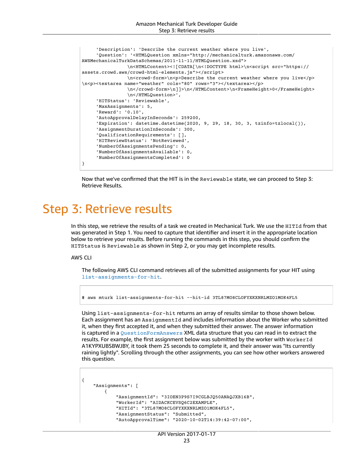```
  'Description': 'Describe the current weather where you live',
       'Question': '<HTMLQuestion xmlns="http://mechanicalturk.amazonaws.com/
AWSMechanicalTurkDataSchemas/2011-11-11/HTMLQuestion.xsd">
                 \n<HTMLContent><![CDATA[\n<!DOCTYPE html>\n<script src="https://
assets.crowd.aws/crowd-html-elements.js"></script>
                 \n<crowd-form>\n<p>Describe the current weather where you live</p>
\n<p><textarea name="weather" cols="80" rows="3"></textarea></p>
                 \n</crowd-form>\n]]>\n</HTMLContent>\n<FrameHeight>0</FrameHeight>
                 \n</HTMLQuestion>',
       'HITStatus': 'Reviewable',
       'MaxAssignments': 5,
       'Reward': '0.10',
       'AutoApprovalDelayInSeconds': 259200,
       'Expiration': datetime.datetime(2020, 9, 29, 18, 30, 3, tzinfo=tzlocal()),
       'AssignmentDurationInSeconds': 300,
       'QualificationRequirements': [],
       'HITReviewStatus': 'NotReviewed',
       'NumberOfAssignmentsPending': 0,
       'NumberOfAssignmentsAvailable': 0,
       'NumberOfAssignmentsCompleted': 0
}
```
Now that we've confirmed that the HIT is in the Reviewable state, we can proceed to Step 3: Retrieve Results.

# <span id="page-26-0"></span>Step 3: Retrieve results

In this step, we retrieve the results of a task we created in Mechanical Turk. We use the HITId from that was generated in Step 1. You need to capture that identifier and insert it in the appropriate location below to retrieve your results. Before running the commands in this step, you should confirm the HITStatus is Reviewable as shown in Step 2, or you may get incomplete results.

#### AWS CLI

The following AWS CLI command retrieves all of the submitted assignments for your HIT using [list-assignments-for-hit](https://awscli.amazonaws.com/v2/documentation/api/latest/reference/mturk/list-assignments-for-hit.html).

\$ aws mturk list-assignments-for-hit --hit-id 3TL87MO8CLOFYXKXNRLMZO1MOK4FL5

Using list-assignments-for-hit returns an array of results similar to those shown below. Each assignment has an AssignmentId and includes information about the Worker who submitted it, when they first accepted it, and when they submitted their answer. The answer information is captured in a [QuestionFormAnswers](https://docs.aws.amazon.com/AWSMechTurk/latest/AWSMturkAPI/ApiReference_QuestionFormAnswersDataStructureArticle.html) XML data structure that you can read in to extract the results. For example, the first assignment below was submitted by the worker with WorkerId A1KYPXUBSBWJBY, it took them 25 seconds to complete it, and their answer was "Its currently raining lightly". Scrolling through the other assignments, you can see how other workers answered this question.

```
{
         "Assignments": [
                  {
                            "AssignmentId": "3IOEN3P9S7I9CGLBJQ50ANAQJXB16B",
                            "WorkerId": "AIDACKCEVSQ6C2EXAMPLE",
                            "HITId": "3TL87MO8CLOFYXKXNRLMZO1MOK4FL5",
                            "AssignmentStatus": "Submitted",
                            "AutoApprovalTime": "2020-10-02T14:39:42-07:00",
```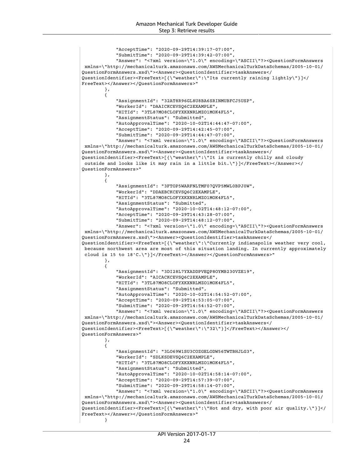```
            "AcceptTime": "2020-09-29T14:39:17-07:00",
                          "SubmitTime": "2020-09-29T14:39:42-07:00",
                          "Answer": "<?xml version=\"1.0\" encoding=\"ASCII\"?><QuestionFormAnswers
 xmlns=\"http://mechanicalturk.amazonaws.com/AWSMechanicalTurkDataSchemas/2005-10-01/
QuestionFormAnswers.xsd\"><Answer><QuestionIdentifier>taskAnswers</
QuestionIdentifier><FreeText>[{\"weather\":\"Its currently raining lightly\"}]</
FreeText></Answer></QuestionFormAnswers>"
                 },
                 {
                          "AssignmentId": "32AT8R96GL8U8BA6SRINMUBFCJ5USP",
                          "WorkerId": "DAAICKCEVSQ6C2EXAMPLE",
                          "HITId": "3TL87MO8CLOFYXKXNRLMZO1MOK4FL5",
                          "AssignmentStatus": "Submitted",
                          "AutoApprovalTime": "2020-10-02T14:44:47-07:00",
                          "AcceptTime": "2020-09-29T14:42:45-07:00",
                          "SubmitTime": "2020-09-29T14:44:47-07:00",
                          "Answer": "<?xml version=\"1.0\" encoding=\"ASCII\"?><QuestionFormAnswers
 xmlns=\"http://mechanicalturk.amazonaws.com/AWSMechanicalTurkDataSchemas/2005-10-01/
QuestionFormAnswers.xsd\"><Answer><QuestionIdentifier>taskAnswers</
QuestionIdentifier><FreeText>[{\"weather\":\"It is currently chilly and cloudy
 outside and looks like it may rain in a little bit.\"}]</FreeText></Answer></
QuestionFormAnswers>"
                 },
                 {
                          "AssignmentId": "3FTOP5WARFNLTMF07QVP5MWL0BPJ0W",
                          "WorkerId": "DDAEBCKCEVSQ6C2EXAMPLE",
                          "HITId": "3TL87MO8CLOFYXKXNRLMZO1MOK4FL5",
                          "AssignmentStatus": "Submitted",
                          "AutoApprovalTime": "2020-10-02T14:48:12-07:00",
                          "AcceptTime": "2020-09-29T14:43:28-07:00",
                          "SubmitTime": "2020-09-29T14:48:12-07:00",
                          "Answer": "<?xml version=\"1.0\" encoding=\"ASCII\"?><QuestionFormAnswers
  xmlns=\"http://mechanicalturk.amazonaws.com/AWSMechanicalTurkDataSchemas/2005-10-01/
QuestionFormAnswers.xsd\"><Answer><QuestionIdentifier>taskAnswers</
QuestionIdentifier><FreeText>[{\"weather\":\"Currently indianapolis weather very cool,
 because northwest area are most of this situation landing. In currently approximately
 cloud is 15 to 18'C.\"}]</FreeText></Answer></QuestionFormAnswers>"
                 },
                 {
                          "AssignmentId": "3DI28L7YXADDPVEQP8OYMB230VZE19",
                          "WorkerId": "AICACKCEVSQ6C2EXAMPLE",
                          "HITId": "3TL87MO8CLOFYXKXNRLMZO1MOK4FL5",
                          "AssignmentStatus": "Submitted",
                          "AutoApprovalTime": "2020-10-02T14:54:52-07:00",
                          "AcceptTime": "2020-09-29T14:53:05-07:00",
                          "SubmitTime": "2020-09-29T14:54:52-07:00",
                          "Answer": "<?xml version=\"1.0\" encoding=\"ASCII\"?><QuestionFormAnswers
 xmlns=\"http://mechanicalturk.amazonaws.com/AWSMechanicalTurkDataSchemas/2005-10-01/
QuestionFormAnswers.xsd\"><Answer><QuestionIdentifier>taskAnswers</
QuestionIdentifier><FreeText>[{\"weather\":\"32\"}]</FreeText></Answer></
QuestionFormAnswers>"
                 },
                 {
                          "AssignmentId": "3LO69W1SU3COZGELODW56TWTBHJLG3",
                          "WorkerId": "SDLKSDEVSQ6C2EXAMPLE",
                          "HITId": "3TL87MO8CLOFYXKXNRLMZO1MOK4FL5",
                          "AssignmentStatus": "Submitted",
                          "AutoApprovalTime": "2020-10-02T14:58:14-07:00",
                          "AcceptTime": "2020-09-29T14:57:39-07:00",
                          "SubmitTime": "2020-09-29T14:58:14-07:00",
                          "Answer": "<?xml version=\"1.0\" encoding=\"ASCII\"?><QuestionFormAnswers
 xmlns=\"http://mechanicalturk.amazonaws.com/AWSMechanicalTurkDataSchemas/2005-10-01/
QuestionFormAnswers.xsd\"><Answer><QuestionIdentifier>taskAnswers</
QuestionIdentifier><FreeText>[{\"weather\":\"Hot and dry, with poor air quality.\"}]</
FreeText></Answer></QuestionFormAnswers>"
        }
```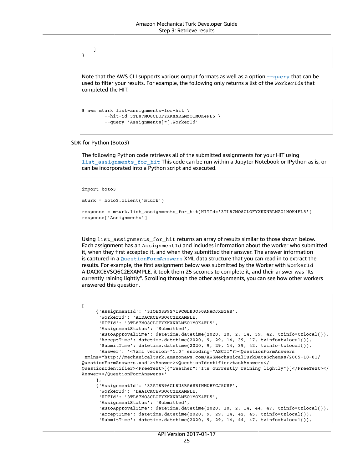Note that the AWS CLI supports various output formats as well as a option  $-\text{query}$  that can be used to filter your results. For example, the following only returns a list of the WorkerIds that completed the HIT.

```
$ aws mturk list-assignments-for-hit \
         --hit-id 3TL87MO8CLOFYXKXNRLMZO1MOK4FL5 \
         --query 'Assignments[*].WorkerId'
```
#### SDK for Python (Boto3)

]

}

The following Python code retrieves all of the submitted assignments for your HIT using [list\\_assignments\\_for\\_hit](https://boto3.amazonaws.com/v1/documentation/api/latest/reference/services/mturk.html#MTurk.Client.list_assignments_for_hit) This code can be run within a Jupyter Notebook or IPython as is, or can be incorporated into a Python script and executed.

import boto3

```
mturk = boto3.client('mturk')
```

```
response = mturk.list_assignments_for_hit(HITId='3TL87MO8CLOFYXKXNRLMZO1MOK4FL5')
response['Assignments']
```
Using list assignments for hit returns an array of results similar to those shown below. Each assignment has an AssignmentId and includes information about the worker who submitted it, when they first accepted it, and when they submitted their answer. The answer information is captured in a [QuestionFormAnswers](https://docs.aws.amazon.com/AWSMechTurk/latest/AWSMturkAPI/ApiReference_QuestionFormAnswersDataStructureArticle.html) XML data structure that you can read in to extract the results. For example, the first assignment below was submitted by the Worker with Worker Id AIDACKCEVSQ6C2EXAMPLE, it took them 25 seconds to complete it, and their answer was "Its currently raining lightly". Scrolling through the other assignments, you can see how other workers answered this question.

```
\mathsf{L} {'AssignmentId': '3IOEN3P9S7I9CGLBJQ50ANAQJXB16B',
         'WorkerId': 'AIDACKCEVSQ6C2EXAMPLE,
         'HITId': '3TL87MO8CLOFYXKXNRLMZO1MOK4FL5',
         'AssignmentStatus': 'Submitted',
         'AutoApprovalTime': datetime.datetime(2020, 10, 2, 14, 39, 42, tzinfo=tzlocal()),
      'AcceptTime': datetime.datetime(2020, 9, 29, 14, 39, 17, tzinfo=tzlocal()),
         'SubmitTime': datetime.datetime(2020, 9, 29, 14, 39, 42, tzinfo=tzlocal()),
         'Answer': '<?xml version="1.0" encoding="ASCII"?><QuestionFormAnswers
 xmlns="http://mechanicalturk.amazonaws.com/AWSMechanicalTurkDataSchemas/2005-10-01/
QuestionFormAnswers.xsd"><Answer><QuestionIdentifier>taskAnswers</
QuestionIdentifier><FreeText>[{"weather":"Its currently raining lightly"}]</FreeText></
Answer></QuestionFormAnswers>'
      },
       {'AssignmentId': '32AT8R96GL8U8BA6SRINMUBFCJ5USP',
         'WorkerId': 'DAAICKCEVSQ6C2EXAMPLE,
         'HITId': '3TL87MO8CLOFYXKXNRLMZO1MOK4FL5',
         'AssignmentStatus': 'Submitted',
         'AutoApprovalTime': datetime.datetime(2020, 10, 2, 14, 44, 47, tzinfo=tzlocal()),
         'AcceptTime': datetime.datetime(2020, 9, 29, 14, 42, 45, tzinfo=tzlocal()),
         'SubmitTime': datetime.datetime(2020, 9, 29, 14, 44, 47, tzinfo=tzlocal()),
```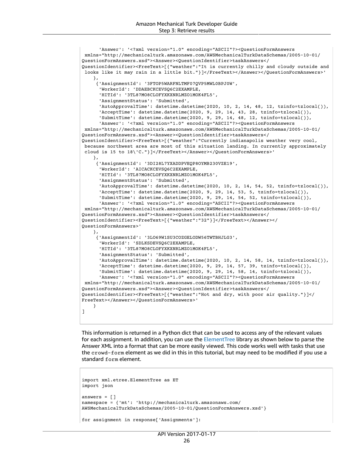```
   'Answer': '<?xml version="1.0" encoding="ASCII"?><QuestionFormAnswers
 xmlns="http://mechanicalturk.amazonaws.com/AWSMechanicalTurkDataSchemas/2005-10-01/
QuestionFormAnswers.xsd"><Answer><QuestionIdentifier>taskAnswers</
QuestionIdentifier><FreeText>[{"weather":"It is currently chilly and cloudy outside and
  looks like it may rain in a little bit."}]</FreeText></Answer></QuestionFormAnswers>'
     },
       {'AssignmentId': '3FTOP5WARFNLTMF07QVP5MWL0BPJ0W',
         'WorkerId': 'DDAEBCKCEVSQ6C2EXAMPLE,
         'HITId': '3TL87MO8CLOFYXKXNRLMZO1MOK4FL5',
         'AssignmentStatus': 'Submitted',
      'AutoApprovalTime': datetime.datetime(2020, 10, 2, 14, 48, 12, tzinfo=tzlocal()),
      'AcceptTime': datetime.datetime(2020, 9, 29, 14, 43, 28, tzinfo=tzlocal()),
         'SubmitTime': datetime.datetime(2020, 9, 29, 14, 48, 12, tzinfo=tzlocal()),
         'Answer': '<?xml version="1.0" encoding="ASCII"?><QuestionFormAnswers
 xmlns="http://mechanicalturk.amazonaws.com/AWSMechanicalTurkDataSchemas/2005-10-01/
QuestionFormAnswers.xsd"><Answer><QuestionIdentifier>taskAnswers</
QuestionIdentifier><FreeText>[{"weather":"Currently indianapolis weather very cool,
 because northwest area are most of this situation landing. In currently approximately
  cloud is 15 to 18\'C."}]</FreeText></Answer></QuestionFormAnswers>'
     },
       {'AssignmentId': '3DI28L7YXADDPVEQP8OYMB230VZE19',
          'WorkerId': 'AICACKCEVSQ6C2EXAMPLE,
         'HITId': '3TL87MO8CLOFYXKXNRLMZO1MOK4FL5',
         'AssignmentStatus': 'Submitted',
         'AutoApprovalTime': datetime.datetime(2020, 10, 2, 14, 54, 52, tzinfo=tzlocal()),
         'AcceptTime': datetime.datetime(2020, 9, 29, 14, 53, 5, tzinfo=tzlocal()),
         'SubmitTime': datetime.datetime(2020, 9, 29, 14, 54, 52, tzinfo=tzlocal()),
         'Answer': '<?xml version="1.0" encoding="ASCII"?><QuestionFormAnswers
 xmlns="http://mechanicalturk.amazonaws.com/AWSMechanicalTurkDataSchemas/2005-10-01/
QuestionFormAnswers.xsd"><Answer><QuestionIdentifier>taskAnswers</
QuestionIdentifier><FreeText>[{"weather":"32"}]</FreeText></Answer></
QuestionFormAnswers>'
     },
       {'AssignmentId': '3LO69W1SU3COZGELODW56TWTBHJLG3',
         'WorkerId': 'SDLKSDEVSQ6C2EXAMPLE,
         'HITId': '3TL87MO8CLOFYXKXNRLMZO1MOK4FL5',
         'AssignmentStatus': 'Submitted',
         'AutoApprovalTime': datetime.datetime(2020, 10, 2, 14, 58, 14, tzinfo=tzlocal()),
         'AcceptTime': datetime.datetime(2020, 9, 29, 14, 57, 39, tzinfo=tzlocal()),
         'SubmitTime': datetime.datetime(2020, 9, 29, 14, 58, 14, tzinfo=tzlocal()),
         'Answer': '<?xml version="1.0" encoding="ASCII"?><QuestionFormAnswers
 xmlns="http://mechanicalturk.amazonaws.com/AWSMechanicalTurkDataSchemas/2005-10-01/
QuestionFormAnswers.xsd"><Answer><QuestionIdentifier>taskAnswers</
QuestionIdentifier><FreeText>[{"weather":"Hot and dry, with poor air quality."}]</
FreeText></Answer></QuestionFormAnswers>'
     }
]
```
This information is returned in a Python dict that can be used to access any of the relevant values for each assignment. In addition, you can use the [ElementTree](https://docs.python.org/3.8/library/xml.etree.elementtree.html) library as shown below to parse the Answer XML into a format that can be more easily viewed. This code works well with tasks that use the crowd-form element as we did in this in this tutorial, but may need to be modified if you use a standard form element.

```
import xml.etree.ElementTree as ET
import json
answers = \lceil]
namespace = {'mt': 'http://mechanicalturk.amazonaws.com/
AWSMechanicalTurkDataSchemas/2005-10-01/QuestionFormAnswers.xsd'}
for assignment in response['Assignments']:
```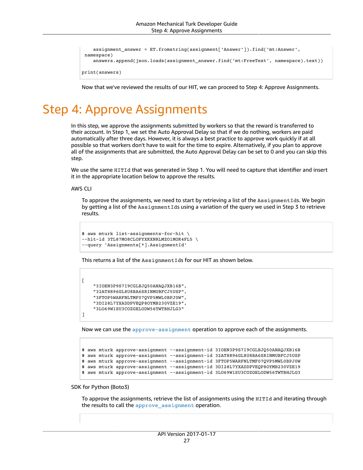```
    assignment_answer = ET.fromstring(assignment['Answer']).find('mt:Answer',
  namespace)
        answers.append(json.loads(assignment_answer.find('mt:FreeText', namespace).text))
print(answers)
```
Now that we've reviewed the results of our HIT, we can proceed to Step 4: Approve Assignments.

# <span id="page-30-0"></span>Step 4: Approve Assignments

In this step, we approve the assignments submitted by workers so that the reward is transferred to their account. In Step 1, we set the Auto Approval Delay so that if we do nothing, workers are paid automatically after three days. However, it is always a best practice to approve work quickly if at all possible so that workers don't have to wait for the time to expire. Alternatively, if you plan to approve all of the assignments that are submitted, the Auto Approval Delay can be set to 0 and you can skip this step.

We use the same HITId that was generated in Step 1. You will need to capture that identifier and insert it in the appropriate location below to approve the results.

AWS CLI

 $\mathsf{L}$ 

]

To approve the assignments, we need to start by retrieving a list of the AssignmentIds. We begin by getting a list of the AssignmentIds using a variation of the query we used in Step 3 to retrieve results.

```
$ aws mturk list-assignments-for-hit \
--hit-id 3TL87MO8CLOFYXKXNRLMZO1MOK4FL5 \
--query 'Assignments[*].AssignmentId'
```
This returns a list of the AssignmentIds for our HIT as shown below.

```
    "3IOEN3P9S7I9CGLBJQ50ANAQJXB16B",
    "32AT8R96GL8U8BA6SRINMUBFCJ5USP",
    "3FTOP5WARFNLTMF07QVP5MWL0BPJ0W",
    "3DI28L7YXADDPVEQP8OYMB230VZE19",
    "3LO69W1SU3COZGELODW56TWTBHJLG3"
```
Now we can use the [approve-assignment](https://awscli.amazonaws.com/v2/documentation/api/latest/reference/mturk/approve-assignment.html) operation to approve each of the assignments.

```
$ aws mturk approve-assignment --assignment-id 3IOEN3P9S7I9CGLBJQ50ANAQJXB16B
$ aws mturk approve-assignment –-assignment-id 32AT8R96GL8U8BA6SRINMUBFCJ5USP
$ aws mturk approve-assignment –-assignment-id 3FTOP5WARFNLTMF07QVP5MWL0BPJ0W
$ aws mturk approve-assignment –-assignment-id 3DI28L7YXADDPVEQP8OYMB230VZE19
$ aws mturk approve-assignment –-assignment-id 3LO69W1SU3COZGELODW56TWTBHJLG3
```
#### SDK for Python (Boto3)

To approve the assignments, retrieve the list of assignments using the HITId and iterating through the results to call the [approve\\_assignment](https://boto3.amazonaws.com/v1/documentation/api/latest/reference/services/mturk.html#MTurk.Client.approve_assignment) operation.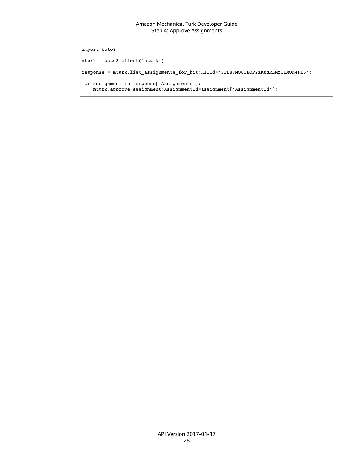```
import boto3
mturk = boto3.client('mturk')
response = mturk.list_assignments_for_hit(HITId='3TL87MO8CLOFYXKXNRLMZO1MOK4FL5')
for assignment in response['Assignments']:
       mturk.approve_assignment(AssignmentId=assignment['AssignmentId'])
```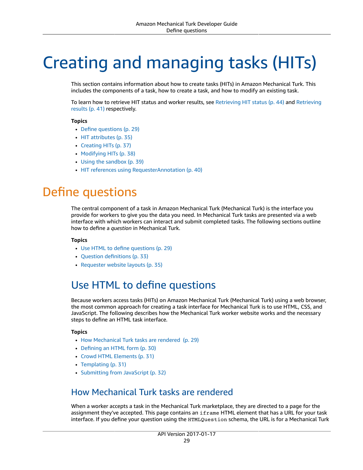# <span id="page-32-0"></span>Creating and managing tasks (HITs)

This section contains information about how to create tasks (HITs) in Amazon Mechanical Turk. This includes the components of a task, how to create a task, and how to modify an existing task.

To learn how to retrieve HIT status and worker results, see [Retrieving](#page-47-0) HIT statu[s \(p. 44\)](#page-47-0) and [Retrieving](#page-44-0) [results \(p. 41\)](#page-44-0) respectively.

#### **Topics**

- [Define questions \(p. 29\)](#page-32-1)
- HIT [attributes \(p. 35\)](#page-38-1)
- Creating [HITs \(p. 37\)](#page-40-0)
- Modifying [HITs \(p. 38\)](#page-41-0)
- Using the [sandbox \(p. 39\)](#page-42-3)
- HIT references using [RequesterAnnotation \(p. 40\)](#page-43-2)

# <span id="page-32-1"></span>Define questions

The central component of a task in Amazon Mechanical Turk (Mechanical Turk) is the interface you provide for workers to give you the data you need. In Mechanical Turk tasks are presented via a web interface with which workers can interact and submit completed tasks. The following sections outline how to define a *question* in Mechanical Turk.

#### **Topics**

- [Use HTML to define questions \(p. 29\)](#page-32-2)
- [Question definitions \(p. 33\)](#page-36-0)
- Requester website [layouts \(p. 35\)](#page-38-0)

### <span id="page-32-2"></span>Use HTML to define questions

Because workers access tasks (HITs) on Amazon Mechanical Turk (Mechanical Turk) using a web browser, the most common approach for creating a task interface for Mechanical Turk is to use HTML, CSS, and JavaScript. The following describes how the Mechanical Turk worker website works and the necessary steps to define an HTML task interface.

#### **Topics**

- How Mechanical Turk tasks are [rendered \(p. 29\)](#page-32-3)
- [Defining an HTML form \(p. 30\)](#page-33-0)
- Crowd HTML [Elements \(p. 31\)](#page-34-0)
- [Templating \(p. 31\)](#page-34-1)
- Submitting from [JavaScript \(p. 32\)](#page-35-0)

### <span id="page-32-3"></span>How Mechanical Turk tasks are rendered

When a worker accepts a task in the Mechanical Turk marketplace, they are directed to a page for the assignment they've accepted. This page contains an iframe HTML element that has a URL for your task interface. If you define your question using the HTMLQuestion schema, the URL is for a Mechanical Turk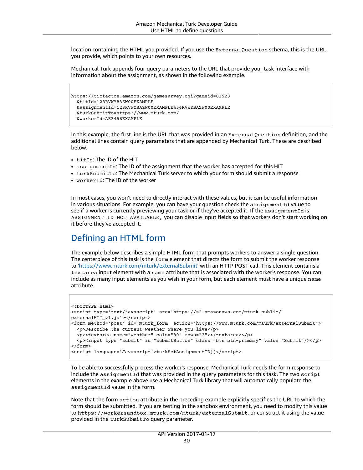location containing the HTML you provided. If you use the ExternalQuestion schema, this is the URL you provide, which points to your own resources.

Mechanical Turk appends four query parameters to the URL that provide your task interface with information about the assignment, as shown in the following example.

```
https://tictactoe.amazon.com/gamesurvey.cgi?gameid=01523
    &hitId=123RVWYBAZW00EXAMPLE
   &assignmentId=123RVWYBAZW00EXAMPLE456RVWYBAZW00EXAMPLE
    &turkSubmitTo=https://www.mturk.com/
   &workerId=AZ3456EXAMPLE
```
In this example, the first line is the URL that was provided in an ExternalQuestion definition, and the additional lines contain query parameters that are appended by Mechanical Turk. These are described below.

- hitId: The ID of the HIT
- assignmentId: The ID of the assignment that the worker has accepted for this HIT
- turkSubmitTo: The Mechanical Turk server to which your form should submit a response
- workerId: The ID of the worker

In most cases, you won't need to directly interact with these values, but it can be useful information in various situations. For example, you can have your question check the assignmentId value to see if a worker is currently previewing your task or if they've accepted it. If the  $\texttt{assignmentId}$  is ASSIGNMENT\_ID\_NOT\_AVAILABLE, you can disable input fields so that workers don't start working on it before they've accepted it.

### <span id="page-33-0"></span>Defining an HTML form

The example below describes a simple HTML form that prompts workers to answer a single question. The centerpiece of this task is the form element that directs the form to submit the worker response to '<https://www.mturk.com/mturk/externalSubmit>' with an HTTP POST call. This element contains a textarea input element with a name attribute that is associated with the worker's response. You can include as many input elements as you wish in your form, but each element must have a unique name attribute.

```
<!DOCTYPE html>
<script type='text/javascript' src='https://s3.amazonaws.com/mturk-public/
externalHIT v1.js'></script>
<form method='post' id='mturk_form' action='https://www.mturk.com/mturk/externalSubmit'>
   <p>Describe the current weather where you live</p>
   <p><textarea name="weather" cols="80" rows="3"></textarea></p>
   <p><input type="submit" id="submitButton" class="btn btn-primary" value="Submit"/></p>
</form>
<script language='Javascript'>turkSetAssignmentID()</script>
```
To be able to successfully process the worker's response, Mechanical Turk needs the form response to include the assignmentId that was provided in the query parameters for this task. The two script elements in the example above use a Mechanical Turk library that will automatically populate the assignmentId value in the form.

Note that the form action attribute in the preceding example explicitly specifies the URL to which the form should be submitted. If you are testing in the sandbox environment, you need to modify this value to https://workersandbox.mturk.com/mturk/externalSubmit, or construct it using the value provided in the turkSubmitTo query parameter.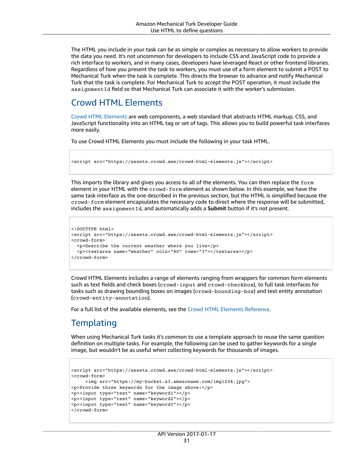The HTML you include in your task can be as simple or complex as necessary to allow workers to provide the data you need. It's not uncommon for developers to include CSS and JavaScript code to provide a rich interface to workers, and in many cases, developers have leveraged React or other frontend libraries. Regardless of how you present the task to workers, you must use of a form element to submit a POST to Mechanical Turk when the task is complete. This directs the browser to advance and notify Mechanical Turk that the task is complete. For Mechanical Turk to accept the POST operation, it must include the assignmentId field so that Mechanical Turk can associate it with the worker's submission.

### <span id="page-34-0"></span>Crowd HTML Elements

Crowd HTML [Elements](https://docs.aws.amazon.com/AWSMechTurk/latest/AWSMturkAPI/ApiReference_HTMLCustomElementsArticle.html) are web components, a web standard that abstracts HTML markup, CSS, and JavaScript functionality into an HTML tag or set of tags. This allows you to build powerful task interfaces more easily.

To use Crowd HTML Elements you must include the following in your task HTML.

```
<script src="https://assets.crowd.aws/crowd-html-elements.js"></script>
```
This imports the library and gives you access to all of the elements. You can then replace the form element in your HTML with the crowd-form element as shown below. In this example, we have the same task interface as the one described in the previous section, but the HTML is simplified because the crowd-form element encapsulates the necessary code to direct where the response will be submitted, includes the assignmentId, and automatically adds a **Submit** button if it's not present.

```
<!DOCTYPE html>
<script src="https://assets.crowd.aws/crowd-html-elements.js"></script>
<crowd-form>
   <p>Describe the current weather where you live</p>
   <p><textarea name="weather" cols="80" rows="3"></textarea></p>
</crowd-form>
```
Crowd HTML Elements includes a range of elements ranging from wrappers for common form elements such as text fields and check boxes (crowd-input and crowd-checkbox), to full task interfaces for tasks such as drawing bounding boxes on images (crowd-bounding-box) and text entity annotation (crowd-entity-annotation).

For a full list of the available elements, see the Crowd HTML Elements [Reference.](https://docs.aws.amazon.com/sagemaker/latest/dg/sms-ui-template-reference.html)

### <span id="page-34-1"></span>**Templating**

When using Mechanical Turk tasks it's common to use a template approach to reuse the same question definition on multiple tasks. For example, the following can be used to gather keywords for a single image, but wouldn't be as useful when collecting keywords for thousands of images.

```
<script src="https://assets.crowd.aws/crowd-html-elements.js"></script>
<crowd-form>
         <img src="https://my-bucket.s3.amazonaws.com/img1234.jpg">
<p>Provide three keywords for the image above:</p>
<p><input type="text" name="keyword1"></p>
<p><input type="text" name="keyword2"></p>
<p><input type="text" name="keyword3"></p>
</crowd-form>
```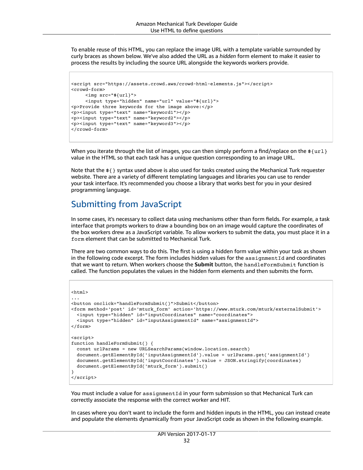To enable reuse of this HTML, you can replace the image URL with a template variable surrounded by curly braces as shown below. We've also added the URL as a *hidden* form element to make it easier to process the results by including the source URL alongside the keywords workers provide.

```
<script src="https://assets.crowd.aws/crowd-html-elements.js"></script>
<crowd-form>
         <img src="${url}">
          <input type="hidden" name="url" value="${url}">
<p>Provide three keywords for the image above:</p>
<p><input type="text" name="keyword1"></p>
<p><input type="text" name="keyword2"></p>
<p><input type="text" name="keyword3"></p>
</crowd-form>
```
When you iterate through the list of images, you can then simply perform a find/replace on the  $\frac{1}{2}$ value in the HTML so that each task has a unique question corresponding to an image URL.

Note that the \${} syntax used above is also used for tasks created using the Mechanical Turk requester website. There are a variety of different templating languages and libraries you can use to render your task interface. It's recommended you choose a library that works best for you in your desired programming language.

### <span id="page-35-0"></span>Submitting from JavaScript

In some cases, it's necessary to collect data using mechanisms other than form fields. For example, a task interface that prompts workers to draw a bounding box on an image would capture the coordinates of the box workers drew as a JavaScript variable. To allow workers to submit the data, you must place it in a form element that can be submitted to Mechanical Turk.

There are two common ways to do this. The first is using a hidden form value within your task as shown in the following code excerpt. The form includes hidden values for the assignmentId and coordinates that we want to return. When workers choose the **Submit** button, the handleFormSubmit function is called. The function populates the values in the hidden form elements and then submits the form.

```
<html>
...
<button onclick="handleFormSubmit()">Submit</button>
<form method='post' id='mturk_form' action='https://www.mturk.com/mturk/externalSubmit'>
   <input type="hidden" id="inputCoordinates" name="coordinates">
   <input type="hidden" id="inputAssignmentId" name="assignmentId">
</form>
<script>
function handleFormSubmit() {
   const urlParams = new URLSearchParams(window.location.search)
   document.getElementById('inputAssignmentId').value = urlParams.get('assignmentId')
   document.getElementById('inputCoordinates').value = JSON.stringify(coordinates)
   document.getElementById('mturk_form').submit()
}
</script>
```
You must include a value for assignmentId in your form submission so that Mechanical Turk can correctly associate the response with the correct worker and HIT.

In cases where you don't want to include the form and hidden inputs in the HTML, you can instead create and populate the elements dynamically from your JavaScript code as shown in the following example.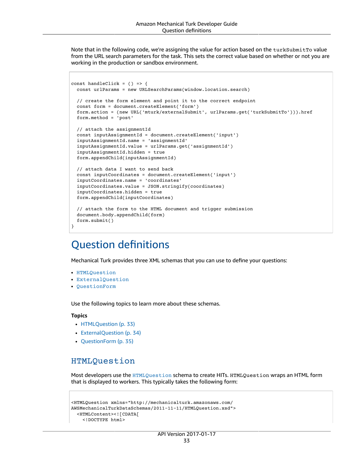Note that in the following code, we're assigning the value for action based on the turkSubmitTo value from the URL search parameters for the task. This sets the correct value based on whether or not you are working in the production or sandbox environment.

```
const handleClick = () => {
   const urlParams = new URLSearchParams(window.location.search)
    // create the form element and point it to the correct endpoint
   const form = document.createElement('form')
   form.action = (new URL('mturk/externalSubmit', urlParams.get('turkSubmitTo'))).href
   form.method = 'post'
    // attach the assignmentId
   const inputAssignmentId = document.createElement('input')
    inputAssignmentId.name = 'assignmentId'
   inputAssignmentId.value = urlParams.get('assignmentId')
    inputAssignmentId.hidden = true
   form.appendChild(inputAssignmentId)
    // attach data I want to send back
   const inputCoordinates = document.createElement('input')
   inputCoordinates.name = 'coordinates'
    inputCoordinates.value = JSON.stringify(coordinates)
   inputCoordinates.hidden = true
    form.appendChild(inputCoordinates)
    // attach the form to the HTML document and trigger submission
   document.body.appendChild(form)
    form.submit()
}
```
## <span id="page-36-0"></span>Question definitions

Mechanical Turk provides three XML schemas that you can use to define your questions:

- [HTMLQuestion](https://docs.aws.amazon.com/AWSMechTurk/latest/AWSMturkAPI/ApiReference_HTMLQuestionArticle.html)
- [ExternalQuestion](https://docs.aws.amazon.com/AWSMechTurk/latest/AWSMturkAPI/ApiReference_ExternalQuestionArticle.html)
- [QuestionForm](https://docs.aws.amazon.com/AWSMechTurk/latest/AWSMturkAPI/ApiReference_QuestionFormDataStructureArticle.html)

Use the following topics to learn more about these schemas.

#### **Topics**

- [HTMLQuestion \(p. 33\)](#page-36-1)
- [ExternalQuestion \(p. 34\)](#page-37-0)
- [QuestionForm \(p. 35\)](#page-38-2)

#### <span id="page-36-1"></span>HTMLQuestion

Most developers use the [HTMLQuestion](https://docs.aws.amazon.com/AWSMechTurk/latest/AWSMturkAPI/ApiReference_HTMLQuestionArticle.html) schema to create HITs. HTMLQuestion wraps an HTML form that is displayed to workers. This typically takes the following form:

```
<HTMLQuestion xmlns="http://mechanicalturk.amazonaws.com/
AWSMechanicalTurkDataSchemas/2011-11-11/HTMLQuestion.xsd">
    <HTMLContent><![CDATA[
        <!DOCTYPE html>
```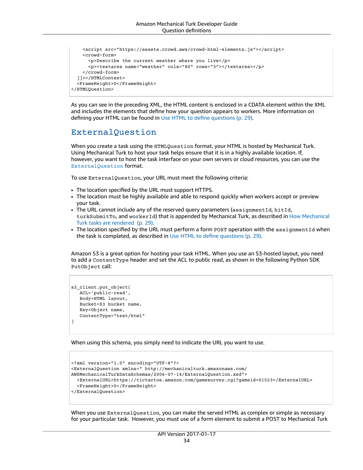```
    <script src="https://assets.crowd.aws/crowd-html-elements.js"></script>
        <crowd-form>
            <p>Describe the current weather where you live</p>
            <p><textarea name="weather" cols="80" rows="3"></textarea></p>
        </crowd-form>
    ]]></HTMLContent>
    <FrameHeight>0</FrameHeight>
</HTMLQuestion>
```
As you can see in the preceding XML, the HTML content is enclosed in a CDATA element within the XML and includes the elements that define how your question appears to workers. More information on defining your HTML can be found in [Use HTML to define questions \(p. 29\).](#page-32-2)

#### <span id="page-37-0"></span>ExternalQuestion

When you create a task using the HTMLQuestion format, your HTML is hosted by Mechanical Turk. Using Mechanical Turk to host your task helps ensure that it is in a highly available location. If, however, you want to host the task interface on your own servers or cloud resources, you can use the [ExternalQuestion](https://docs.aws.amazon.com/AWSMechTurk/latest/AWSMturkAPI/ApiReference_ExternalQuestionArticle.html) format.

To use ExternalQuestion, your URL must meet the following criteria:

- The location specified by the URL must support HTTPS.
- The location must be highly available and able to respond quickly when workers accept or preview your task.
- The URL cannot include any of the reserved query parameters (assignmentId, hitId, turkSubmitTo, and workerId) that is appended by Mechanical Turk, as described in How [Mechanical](#page-32-3) Turk tasks are [rendered \(p. 29\).](#page-32-3)
- The location specified by the URL must perform a form POST operation with the assignmentId when the task is completed, as described in [Use HTML to define questions \(p. 29\)](#page-32-2).

Amazon S3 is a great option for hosting your task HTML. When you use an S3-hosted layout, you need to add a ContentType header and set the ACL to public read, as shown in the following Python SDK PutObject call:

```
s3_client.put_object(
      ACL='public-read',
      Body=HTML layout,
      Bucket=S3 bucket name,
      Key=Object name,
      ContentType="text/html"
\lambda
```
When using this schema, you simply need to indicate the URL you want to use.

```
<?xml version="1.0" encoding="UTF-8"?>
<ExternalQuestion xmlns=" http://mechanicalturk.amazonaws.com/
AWSMechanicalTurkDataSchemas/2006-07-14/ExternalQuestion.xsd">
    <ExternalURL>https://tictactoe.amazon.com/gamesurvey.cgi?gameid=01523</ExternalURL>
    <FrameHeight>0</FrameHeight>
</ExternalQuestion>
```
When you use ExternalQuestion, you can make the served HTML as complex or simple as necessary for your particular task. However, you must use of a form element to submit a POST to Mechanical Turk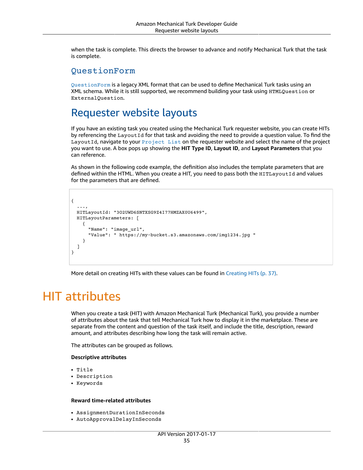when the task is complete. This directs the browser to advance and notify Mechanical Turk that the task is complete.

#### <span id="page-38-2"></span>QuestionForm

[QuestionForm](https://docs.aws.amazon.com/AWSMechTurk/latest/AWSMturkAPI/ApiReference_QuestionFormDataStructureArticle.html) is a legacy XML format that can be used to define Mechanical Turk tasks using an XML schema. While it is still supported, we recommend building your task using HTMLQuestion or ExternalQuestion.

### <span id="page-38-0"></span>Requester website layouts

If you have an existing task you created using the Mechanical Turk requester website, you can create HITs by referencing the LayoutId for that task and avoiding the need to provide a question value. To find the LayoutId, navigate to your [Project List](https://requester.mturk.com/create/projects) on the requester website and select the name of the project you want to use. A box pops up showing the **HIT Type ID**, **Layout ID**, and **Layout Parameters** that you can reference.

As shown in the following code example, the definition also includes the template parameters that are defined within the HTML. When you create a HIT, you need to pass both the HITLayoutId and values for the parameters that are defined.

```
{
  ...,
  HITLayoutId: "3O2UWD6SNTXSG9Z4I77HMZAX0U6499",
    HITLayoutParameters: [
        {
             "Name": "image_url", 
             "Value": " https://my-bucket.s3.amazonaws.com/img1234.jpg "
    }
    ]
}
```
More detail on creating HITs with these values can be found in [Creating](#page-40-0) HITs [\(p. 37\)](#page-40-0).

# <span id="page-38-1"></span>HIT attributes

When you create a task (HIT) with Amazon Mechanical Turk (Mechanical Turk), you provide a number of attributes about the task that tell Mechanical Turk how to display it in the marketplace. These are separate from the content and question of the task itself, and include the title, description, reward amount, and attributes describing how long the task will remain active.

The attributes can be grouped as follows.

#### **Descriptive attributes**

- Title
- Description
- Keywords

#### **Reward time-related attributes**

- AssignmentDurationInSeconds
- AutoApprovalDelayInSeconds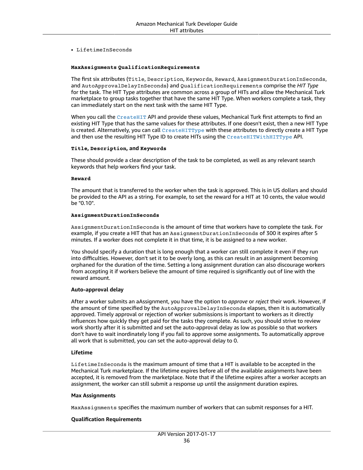• LifetimeInSeconds

#### **MaxAssignments QualificationRequirements**

The first six attributes (Title, Description, Keywords, Reward, AssignmentDurationInSeconds, and AutoApprovalDelayInSeconds) and QualificationRequirements comprise the *HIT Type* for the task. The HIT Type attributes are common across a group of HITs and allow the Mechanical Turk marketplace to group tasks together that have the same HIT Type. When workers complete a task, they can immediately start on the next task with the same HIT Type.

When you call the [CreateHIT](https://docs.aws.amazon.com/AWSMechTurk/latest/AWSMturkAPI/ApiReference_CreateHITOperation.html) API and provide these values, Mechanical Turk first attempts to find an existing HIT Type that has the same values for these attributes. If one doesn't exist, then a new HIT Type is created. Alternatively, you can call [CreateHITType](https://docs.aws.amazon.com/AWSMechTurk/latest/AWSMturkAPI/ApiReference_CreateHITTypeOperation.html) with these attributes to directly create a HIT Type and then use the resulting HIT Type ID to create HITs using the [CreateHITWithHITType](https://docs.aws.amazon.com/AWSMechTurk/latest/AWSMturkAPI/ApiReference_CreateHITWithHITTypeOperation.html) API.

#### **Title, Description, and Keywords**

These should provide a clear description of the task to be completed, as well as any relevant search keywords that help workers find your task.

#### **Reward**

The amount that is transferred to the worker when the task is approved. This is in US dollars and should be provided to the API as a string. For example, to set the reward for a HIT at 10 cents, the value would be "0.10".

#### **AssignmentDurationInSeconds**

AssignmentDurationInSeconds is the amount of time that workers have to complete the task. For example, if you create a HIT that has an AssignmentDurationInSeconds of 300 it expires after 5 minutes. If a worker does not complete it in that time, it is be assigned to a new worker.

You should specify a duration that is long enough that a worker can still complete it even if they run into difficulties. However, don't set it to be overly long, as this can result in an assignment becoming orphaned for the duration of the time. Setting a long assignment duration can also discourage workers from accepting it if workers believe the amount of time required is significantly out of line with the reward amount.

#### **Auto-approval delay**

After a worker submits an aAssignment, you have the option to *approve* or *reject* their work. However, if the amount of time specified by the AutoApprovalDelayInSeconds elapses, then it is automatically approved. Timely approval or rejection of worker submissions is important to workers as it directly influences how quickly they get paid for the tasks they complete. As such, you should strive to review work shortly after it is submitted and set the auto-approval delay as low as possible so that workers don't have to wait inordinately long if you fail to approve some assignments. To automatically approve all work that is submitted, you can set the auto-approval delay to 0.

#### **Lifetime**

LifetimeInSeconds is the maximum amount of time that a HIT is available to be accepted in the Mechanical Turk marketplace. If the lifetime expires before all of the available assignments have been accepted, it is removed from the marketplace. Note that if the lifetime expires after a worker accepts an assignment, the worker can still submit a response up until the assignment duration expires.

#### **Max Assignments**

MaxAssignments specifies the maximum number of workers that can submit responses for a HIT.

#### **Qualification Requirements**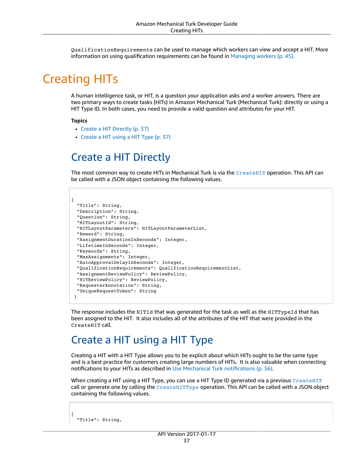QualificationRequirements can be used to manage which workers can view and accept a HIT. More information on using qualification requirements can be found in [Managing](#page-48-0) workers ( $p. 45$ ).

# <span id="page-40-0"></span>Creating HITs

A human intelligence task, or HIT, is a question your application asks and a worker answers. There are two primary ways to create tasks (HITs) in Amazon Mechanical Turk (Mechanical Turk): directly or using a HIT Type ID. In both cases, you need to provide a valid question and attributes for your HIT.

#### **Topics**

- Create a HIT [Directly \(p. 37\)](#page-40-1)
- Create a HIT using a HIT [Type \(p. 37\)](#page-40-2)

# <span id="page-40-1"></span>Create a HIT Directly

The most common way to create HITs in Mechanical Turk is via the [CreateHIT](https://docs.aws.amazon.com/AWSMechTurk/latest/AWSMturkAPI/ApiReference_CreateHITOperation.html) operation. This API can be called with a JSON object containing the following values.

```
{ 
    "Title": String,
    "Description": String,
    "Question": String,
    "HITLayoutId": String,
    "HITLayoutParameters": HITLayoutParameterList,
    "Reward": String,
    "AssignmentDurationInSeconds": Integer,
    "LifetimeInSeconds": Integer,
    "Keywords": String,
    "MaxAssignments": Integer,
    "AutoApprovalDelayInSeconds": Integer,
    "QualificationRequirements": QualificationRequirementList,
    "AssignmentReviewPolicy": ReviewPolicy,
    "HITReviewPolicy": ReviewPolicy,
    "RequesterAnnotation": String,
    "UniqueRequestToken": String
  }
```
The response includes the HITId that was generated for the task as well as the HITTypeId that has been assigned to the HIT. It also includes all of the attributes of the HIT that were provided in the CreateHIT call.

## <span id="page-40-2"></span>Create a HIT using a HIT Type

Creating a HIT with a HIT Type allows you to be explicit about which HITs ought to be the same type and is a best practice for customers creating large numbers of HITs. It is also valuable when connecting notifications to your HITs as described in Use Mechanical Turk [notifications \(p. 56\).](#page-59-0)

When creating a HIT using a HIT Type, you can use a HIT Type ID generated via a previous  $C_{\text{reatellIT}}$ call or generate one by calling the  $\text{CreateHITType}$  $\text{CreateHITType}$  $\text{CreateHITType}$  operation. This API can be called with a JSON object containing the following values.

```
  "Title": String,
```
{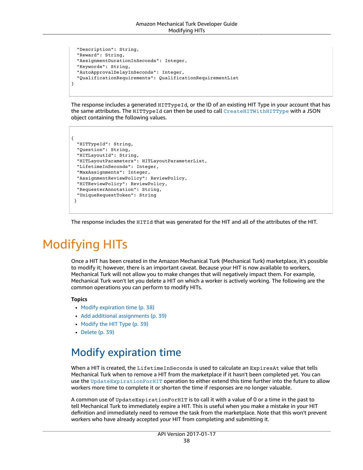```
  "Description": String,
    "Reward": String,
    "AssignmentDurationInSeconds": Integer,
    "Keywords": String,
    "AutoApprovalDelayInSeconds": Integer,
    "QualificationRequirements": QualificationRequirementList
}
```
The response includes a generated HITTypeId, or the ID of an existing HIT Type in your account that has the same attributes. The HITTypeId can then be used to call [CreateHITWithHITType](https://docs.aws.amazon.com/AWSMechTurk/latest/AWSMturkAPI/ApiReference_CreateHITWithHITTypeOperation.html) with a JSON object containing the following values.

```
{ 
    "HITTypeId": String,
    "Question": String,
    "HITLayoutId": String,
    "HITLayoutParameters": HITLayoutParameterList,
    "LifetimeInSeconds": Integer,
    "MaxAssignments": Integer,
    "AssignmentReviewPolicy": ReviewPolicy,
    "HITReviewPolicy": ReviewPolicy,
    "RequesterAnnotation": String,
    "UniqueRequestToken": String
  }
```
The response includes the HITId that was generated for the HIT and all of the attributes of the HIT.

# <span id="page-41-0"></span>Modifying HITs

Once a HIT has been created in the Amazon Mechanical Turk (Mechanical Turk) marketplace, it's possible to modify it; however, there is an important caveat. Because your HIT is now available to workers, Mechanical Turk will not allow you to make changes that will negatively impact them. For example, Mechanical Turk won't let you delete a HIT on which a worker is actively working. The following are the common operations you can perform to modify HITs.

#### **Topics**

- Modify expiration [time \(p. 38\)](#page-41-1)
- Add additional [assignments \(p. 39\)](#page-42-0)
- Modify the HIT [Type \(p. 39\)](#page-42-1)
- [Delete \(p. 39\)](#page-42-2)

# <span id="page-41-1"></span>Modify expiration time

When a HIT is created, the LifetimeInSeconds is used to calculate an ExpiresAt value that tells Mechanical Turk when to remove a HIT from the marketplace if it hasn't been completed yet. You can use the [UpdateExpirationForHIT](https://docs.aws.amazon.com/AWSMechTurk/latest/AWSMturkAPI/ApiReference_UpdateExpirationForHITOperation.html) operation to either extend this time further into the future to allow workers more time to complete it or shorten the time if responses are no longer valuable.

A common use of UpdateExpirationForHIT is to call it with a value of 0 or a time in the past to tell Mechanical Turk to immediately expire a HIT. This is useful when you make a mistake in your HIT definition and immediately need to remove the task from the marketplace. Note that this won't prevent workers who have already accepted your HIT from completing and submitting it.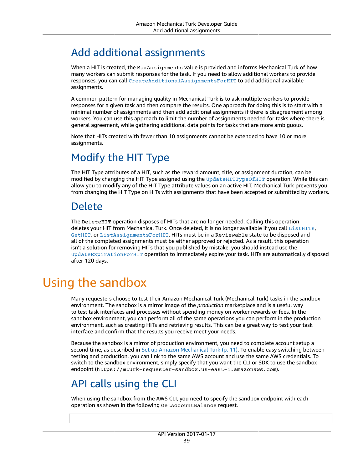# <span id="page-42-0"></span>Add additional assignments

When a HIT is created, the MaxAssignments value is provided and informs Mechanical Turk of how many workers can submit responses for the task. If you need to allow additional workers to provide responses, you can call [CreateAdditionalAssignmentsForHIT](https://docs.aws.amazon.com/AWSMechTurk/latest/AWSMturkAPI/ApiReference_CreateAdditionalAssignmentsForHITOperation.html) to add additional available assignments.

A common pattern for managing quality in Mechanical Turk is to ask multiple workers to provide responses for a given task and then compare the results. One approach for doing this is to start with a minimal number of assignments and then add additional assignments if there is disagreement among workers. You can use this approach to limit the number of assignments needed for tasks where there is general agreement, while gathering additional data points for tasks that are more ambiguous.

Note that HITs created with fewer than 10 assignments cannot be extended to have 10 or more assignments.

# <span id="page-42-1"></span>Modify the HIT Type

The HIT Type attributes of a HIT, such as the reward amount, title, or assignment duration, can be modified by changing the HIT Type assigned using the [UpdateHITTypeOfHIT](https://docs.aws.amazon.com/AWSMechTurk/latest/AWSMturkAPI/ApiReference_UpdateHITTypeOfHITOperation.html) operation. While this can allow you to modify any of the HIT Type attribute values on an active HIT, Mechanical Turk prevents you from changing the HIT Type on HITs with assignments that have been accepted or submitted by workers.

### <span id="page-42-2"></span>Delete

The DeleteHIT operation disposes of HITs that are no longer needed. Calling this operation deletes your HIT from Mechanical Turk. Once deleted, it is no longer available if you call [ListHITs](https://docs.aws.amazon.com/AWSMechTurk/latest/AWSMturkAPI/ApiReference_ListHITsOperation.html), [GetHIT](https://docs.aws.amazon.com/AWSMechTurk/latest/AWSMturkAPI/ApiReference_GetHITOperation.html), or [ListAssignmentsForHIT](https://docs.aws.amazon.com/AWSMechTurk/latest/AWSMturkAPI/ApiReference_ListAssignmentsForHITOperation.html). HITs must be in a Reviewable state to be disposed and all of the completed assignments must be either approved or rejected. As a result, this operation isn't a solution for removing HITs that you published by mistake, you should instead use the [UpdateExpirationForHIT](https://docs.aws.amazon.com/AWSMechTurk/latest/AWSMturkAPI/ApiReference_UpdateExpirationForHITOperation.html) operation to immediately expire your task. HITs are automatically disposed after 120 days.

# <span id="page-42-3"></span>Using the sandbox

Many requesters choose to test their Amazon Mechanical Turk (Mechanical Turk) tasks in the sandbox environment. The sandbox is a mirror image of the *production* marketplace and is a useful way to test task interfaces and processes without spending money on worker rewards or fees. In the sandbox environment, you can perform all of the same operations you can perform in the production environment, such as creating HITs and retrieving results. This can be a great way to test your task interface and confirm that the results you receive meet your needs.

Because the sandbox is a mirror of production environment, you need to complete account setup a second time, as described in Set up Amazon [Mechanical](#page-14-0) Turk [\(p. 11\).](#page-14-0) To enable easy switching between testing and production, you can link to the same AWS account and use the same AWS credentials. To switch to the sandbox environment, simply specify that you want the CLI or SDK to use the sandbox endpoint (https://mturk-requester-sandbox.us-east-1.amazonaws.com).

## <span id="page-42-4"></span>API calls using the CLI

When using the sandbox from the AWS CLI, you need to specify the sandbox endpoint with each operation as shown in the following GetAccountBalance request.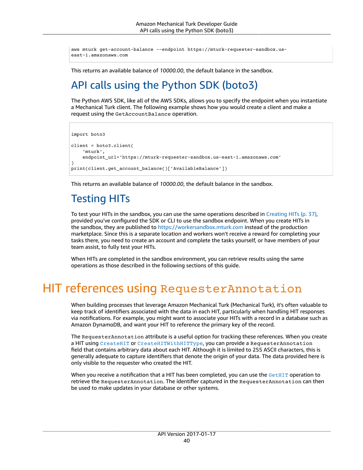```
aws mturk get-account-balance --endpoint https://mturk-requester-sandbox.us-
east-1.amazonaws.com
```
<span id="page-43-0"></span>This returns an available balance of *10000.00*, the default balance in the sandbox.

# API calls using the Python SDK (boto3)

The Python AWS SDK, like all of the AWS SDKs, allows you to specify the endpoint when you instantiate a Mechanical Turk client. The following example shows how you would create a client and make a request using the GetAccountBalance operation.

```
import boto3
client = boto3.client(
        'mturk',
        endpoint_url='https://mturk-requester-sandbox.us-east-1.amazonaws.com'
\lambdaprint(client.get_account_balance()['AvailableBalance'])
```
This returns an available balance of *10000.00*, the default balance in the sandbox.

# <span id="page-43-1"></span>Testing HITs

To test your HITs in the sandbox, you can use the same operations described in [Creating](#page-40-0) HITs ( $p. 37$ ), provided you've configured the SDK or CLI to use the sandbox endpoint. When you create HITs in the sandbox, they are published to <https://workersandbox.mturk.com> instead of the production marketplace. Since this is a separate location and workers won't receive a reward for completing your tasks there, you need to create an account and complete the tasks yourself, or have members of your team assist, to fully test your HITs.

When HITs are completed in the sandbox environment, you can retrieve results using the same operations as those described in the following sections of this guide.

# <span id="page-43-2"></span>HIT references using RequesterAnnotation

When building processes that leverage Amazon Mechanical Turk (Mechanical Turk), it's often valuable to keep track of identifiers associated with the data in each HIT, particularly when handling HIT responses via notifications. For example, you might want to associate your HITs with a record in a database such as Amazon DynamoDB, and want your HIT to reference the primary key of the record.

The RequesterAnnotation attribute is a useful option for tracking these references. When you create a HIT using [CreateHIT](https://docs.aws.amazon.com/AWSMechTurk/latest/AWSMturkAPI/ApiReference_CreateHITOperation.html) or [CreateHITWithHITType](https://docs.aws.amazon.com/AWSMechTurk/latest/AWSMturkAPI/ApiReference_CreateHITWithHITTypeOperation.html), you can provide a RequesterAnnotation field that contains arbitrary data about each HIT. Although it is limited to 255 ASCII characters, this is generally adequate to capture identifiers that denote the origin of your data. The data provided here is only visible to the requester who created the HIT.

When you receive a notification that a HIT has been completed, you can use the [GetHIT](https://docs.aws.amazon.com/AWSMechTurk/latest/AWSMturkAPI/ApiReference_GetHITOperation.html) operation to retrieve the RequesterAnnotation. The identifier captured in the RequesterAnnotation can then be used to make updates in your database or other systems.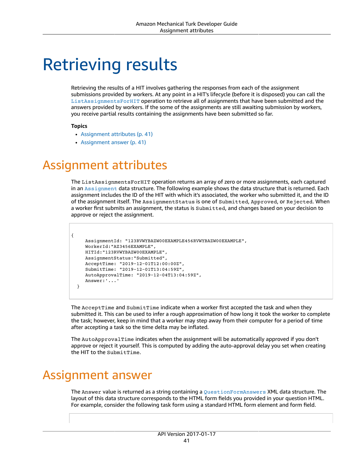# <span id="page-44-0"></span>Retrieving results

Retrieving the results of a HIT involves gathering the responses from each of the assignment submissions provided by workers. At any point in a HIT's lifecycle (before it is disposed) you can call the [ListAssignmentsForHIT](https://docs.aws.amazon.com/AWSMechTurk/latest/AWSMturkAPI/ApiReference_ListAssignmentsForHITOperation.html) operation to retrieve all of assignments that have been submitted and the answers provided by workers. If the some of the assignments are still awaiting submission by workers, you receive partial results containing the assignments have been submitted so far.

#### **Topics**

- Assignment [attributes \(p. 41\)](#page-44-1)
- Assignment [answer \(p. 41\)](#page-44-2)

# <span id="page-44-1"></span>Assignment attributes

The ListAssignmentsForHIT operation returns an array of zero or more assignments, each captured in an [Assignment](https://docs.aws.amazon.com/AWSMechTurk/latest/AWSMturkAPI/ApiReference_AssignmentDataStructureArticle.html) data structure. The following example shows the data structure that is returned. Each assignment includes the ID of the HIT with which it's associated, the worker who submitted it, and the ID of the assignment itself. The AssignmentStatus is one of Submitted, Approved, or Rejected. When a worker first submits an assignment, the status is Submitted, and changes based on your decision to approve or reject the assignment.

```
{
          AssignmentId: "123RVWYBAZW00EXAMPLE456RVWYBAZW00EXAMPLE",
          WorkerId:"AZ3456EXAMPLE",
          HITId:"123RVWYBAZW00EXAMPLE",
          AssignmentStatus:"Submitted",
          AcceptTime: "2019-12-01T12:00:00Z",
          SubmitTime: "2019-12-01T13:04:59Z",
          AutoApprovalTime: "2019-12-04T13:04:59Z",
          Answer:'...'
    }
```
The AcceptTime and SubmitTime indicate when a worker first accepted the task and when they submitted it. This can be used to infer a rough approximation of how long it took the worker to complete the task; however, keep in mind that a worker may step away from their computer for a period of time after accepting a task so the time delta may be inflated.

The AutoApprovalTime indicates when the assignment will be automatically approved if you don't approve or reject it yourself. This is computed by adding the auto-approval delay you set when creating the HIT to the SubmitTime.

# <span id="page-44-2"></span>Assignment answer

The Answer value is returned as a string containing a [QuestionFormAnswers](https://docs.aws.amazon.com/AWSMechTurk/latest/AWSMturkAPI/ApiReference_QuestionFormAnswersDataStructureArticle.html) XML data structure. The layout of this data structure corresponds to the HTML form fields you provided in your question HTML. For example, consider the following task form using a standard HTML form element and form field.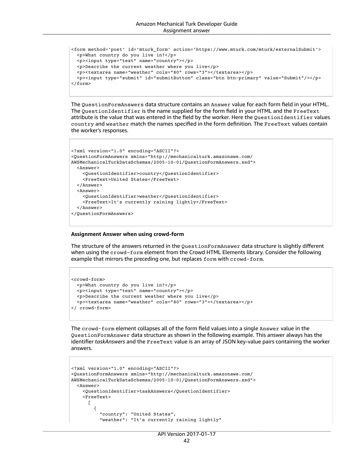```
<form method='post' id='mturk_form' action='https://www.mturk.com/mturk/externalSubmit'>
   <p>What country do you live in?</p>
   <p><input type="text" name="country"></p>
   <p>Describe the current weather where you live</p>
   <p><textarea name="weather" cols="80" rows="3"></textarea></p>
   <p><input type="submit" id="submitButton" class="btn btn-primary" value="Submit"/></p>
</form>
```
The QuestionFormAnswers data structure contains an Answer value for each form field in your HTML. The QuestionIdentifier is the name supplied for the form field in your HTML and the FreeText attribute is the value that was entered in the field by the worker. Here the QuestionIdentifier values country and weather match the names specified in the form definition. The FreeText values contain the worker's responses.

```
<?xml version="1.0" encoding="ASCII"?>
<QuestionFormAnswers xmlns="http://mechanicalturk.amazonaws.com/
AWSMechanicalTurkDataSchemas/2005-10-01/QuestionFormAnswers.xsd">
    <Answer>
        <QuestionIdentifier>country</QuestionIdentifier>
        <FreeText>United States</FreeText>
    </Answer>
    <Answer>
        <QuestionIdentifier>weather</QuestionIdentifier>
        <FreeText>It's currently raining lightly</FreeText>
    </Answer>
</QuestionFormAnswers>
```
#### **Assignment Answer when using crowd-form**

The structure of the answers returned in the QuestionFormAnswer data structure is slightly different when using the crowd-form element from the Crowd HTML Elements library. Consider the following example that mirrors the preceding one, but replaces form with crowd-form.

```
<crowd-form>
   <p>What country do you live in?</p>
   <p><input type="text" name="country"></p>
   <p>Describe the current weather where you live</p>
   <p><textarea name="weather" cols="80" rows="3"></textarea></p>
</ crowd-form>
```
The crowd-form element collapses all of the form field values into a single Answer value in the QuestionFormAnswer data structure as shown in the following example. This answer always has the identifier *taskAnswers* and the FreeText value is an array of JSON key-value pairs containing the worker answers.

```
<?xml version="1.0" encoding="ASCII"?>
<QuestionFormAnswers xmlns="http://mechanicalturk.amazonaws.com/
AWSMechanicalTurkDataSchemas/2005-10-01/QuestionFormAnswers.xsd">
    <Answer>
        <QuestionIdentifier>taskAnswers</QuestionIdentifier>
        <FreeText>
      \Gamma\overline{\mathcal{A}}          "country": "United States", 
                     "weather": "It's currently raining lightly"
```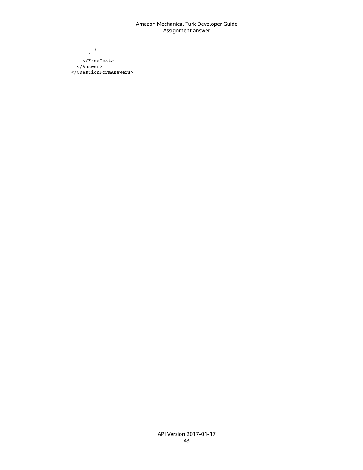} ] </FreeText> </Answer> </QuestionFormAnswers>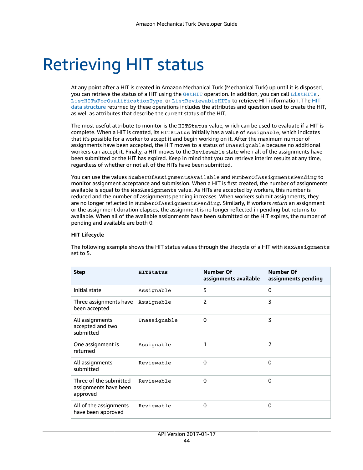# <span id="page-47-0"></span>Retrieving HIT status

At any point after a HIT is created in Amazon Mechanical Turk (Mechanical Turk) up until it is disposed, you can retrieve the status of a HIT using the [GetHIT](https://docs.aws.amazon.com/AWSMechTurk/latest/AWSMturkAPI/ApiReference_GetHITOperation.html) operation. In addition, you can call [ListHITs,](https://docs.aws.amazon.com/AWSMechTurk/latest/AWSMturkAPI/ApiReference_ListHITsOperation.html) [ListHITsForQualificationType](https://docs.aws.amazon.com/AWSMechTurk/latest/AWSMturkAPI/ApiReference_ListHITsForQualificationTypeOperation.html), or [ListReviewableHITs](https://docs.aws.amazon.com/AWSMechTurk/latest/AWSMturkAPI/ApiReference_ListReviewableHITsOperation.html) to retrieve HIT information. The [HIT](https://docs.aws.amazon.com/AWSMechTurk/latest/AWSMturkAPI/ApiReference_HITDataStructureArticle.html) data [structure](https://docs.aws.amazon.com/AWSMechTurk/latest/AWSMturkAPI/ApiReference_HITDataStructureArticle.html) returned by these operations includes the attributes and question used to create the HIT, as well as attributes that describe the current status of the HIT.

The most useful attribute to monitor is the HITStatus value, which can be used to evaluate if a HIT is complete. When a HIT is created, its HITStatus initially has a value of Assignable, which indicates that it's possible for a worker to accept it and begin working on it. After the maximum number of assignments have been accepted, the HIT moves to a status of Unassignable because no additional workers can accept it. Finally, a HIT moves to the Reviewable state when all of the assignments have been submitted or the HIT has expired. Keep in mind that you can retrieve interim results at any time, regardless of whether or not all of the HITs have been submitted.

You can use the values NumberOfAssignmentsAvailable and NumberOfAssignmentsPending to monitor assignment acceptance and submission. When a HIT is first created, the number of assignments available is equal to the MaxAssignments value. As HITs are accepted by workers, this number is reduced and the number of assignments pending increases. When workers submit assignments, they are no longer reflected in NumberOfAssignmentsPending. Similarly, if workers *return* an assignment or the assignment duration elapses, the assignment is no longer reflected in pending but returns to available. When all of the available assignments have been submitted or the HIT expires, the number of pending and available are both 0.

#### **HIT Lifecycle**

The following example shows the HIT status values through the lifecycle of a HIT with MaxAssignments set to 5.

| <b>Step</b>                                                 | <b>HITStatus</b> | Number Of<br>assignments available | Number Of<br>assignments pending |
|-------------------------------------------------------------|------------------|------------------------------------|----------------------------------|
| Initial state                                               | Assignable       | 5                                  | 0                                |
| Three assignments have<br>been accepted                     | Assignable       | $\overline{2}$                     | 3                                |
| All assignments<br>accepted and two<br>submitted            | Unassignable     | $\Omega$                           | 3                                |
| One assignment is<br>returned                               | Assignable       | 1                                  | $\mathcal{P}$                    |
| All assignments<br>submitted                                | Reviewable       | 0                                  | 0                                |
| Three of the submitted<br>assignments have been<br>approved | Reviewable       | $\Omega$                           | $\Omega$                         |
| All of the assignments<br>have been approved                | Reviewable       | 0                                  | $\Omega$                         |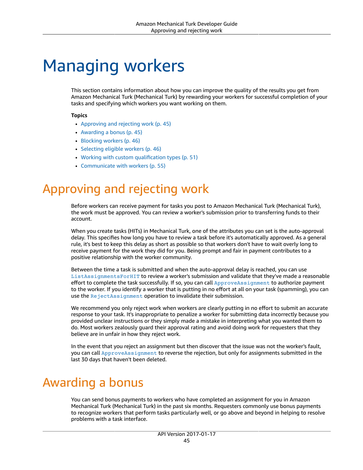# <span id="page-48-0"></span>Managing workers

This section contains information about how you can improve the quality of the results you get from Amazon Mechanical Turk (Mechanical Turk) by rewarding your workers for successful completion of your tasks and specifying which workers you want working on them.

#### **Topics**

- Approving and rejecting [work \(p. 45\)](#page-48-1)
- Awarding a [bonus \(p. 45\)](#page-48-2)
- Blocking [workers \(p. 46\)](#page-49-0)
- Selecting eligible [workers \(p. 46\)](#page-49-1)
- Working with custom [qualification](#page-54-0) types (p. 51)
- Communicate with [workers \(p. 55\)](#page-58-0)

# <span id="page-48-1"></span>Approving and rejecting work

Before workers can receive payment for tasks you post to Amazon Mechanical Turk (Mechanical Turk), the work must be approved. You can review a worker's submission prior to transferring funds to their account.

When you create tasks (HITs) in Mechanical Turk, one of the attributes you can set is the auto-approval delay. This specifies how long you have to review a task before it's automatically approved. As a general rule, it's best to keep this delay as short as possible so that workers don't have to wait overly long to receive payment for the work they did for you. Being prompt and fair in payment contributes to a positive relationship with the worker community.

Between the time a task is submitted and when the auto-approval delay is reached, you can use [ListAssignmentsForHIT](https://docs.aws.amazon.com/AWSMechTurk/latest/AWSMturkAPI/ApiReference_ListAssignmentsForHITOperation.html) to review a worker's submission and validate that they've made a reasonable effort to complete the task successfully. If so, you can call [ApproveAssignment](https://docs.aws.amazon.com/AWSMechTurk/latest/AWSMturkAPI/ApiReference_ApproveAssignmentOperation.html) to authorize payment to the worker. If you identify a worker that is putting in no effort at all on your task (spamming), you can use the [RejectAssignment](https://docs.aws.amazon.com/AWSMechTurk/latest/AWSMturkAPI/ApiReference_RejectAssignmentOperation.html) operation to invalidate their submission.

We recommend you only reject work when workers are clearly putting in no effort to submit an accurate response to your task. It's inappropriate to penalize a worker for submitting data incorrectly because you provided unclear instructions or they simply made a mistake in interpreting what you wanted them to do. Most workers zealously guard their approval rating and avoid doing work for requesters that they believe are in unfair in how they reject work.

In the event that you reject an assignment but then discover that the issue was not the worker's fault, you can call [ApproveAssignment](https://docs.aws.amazon.com/AWSMechTurk/latest/AWSMturkAPI/ApiReference_ApproveAssignmentOperation.html) to reverse the rejection, but only for assignments submitted in the last 30 days that haven't been deleted.

# <span id="page-48-2"></span>Awarding a bonus

You can send bonus payments to workers who have completed an assignment for you in Amazon Mechanical Turk (Mechanical Turk) in the past six months. Requesters commonly use bonus payments to recognize workers that perform tasks particularly well, or go above and beyond in helping to resolve problems with a task interface.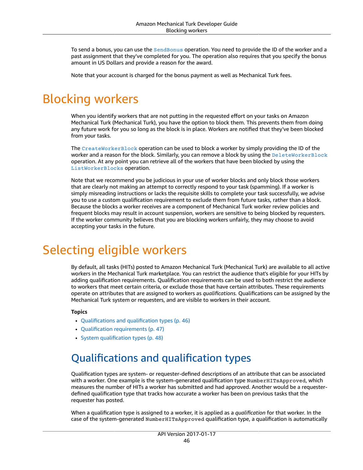To send a bonus, you can use the [SendBonus](https://docs.aws.amazon.com/AWSMechTurk/latest/AWSMturkAPI/ApiReference_SendBonusOperation.html) operation. You need to provide the ID of the worker and a past assignment that they've completed for you. The operation also requires that you specify the bonus amount in US Dollars and provide a reason for the award.

Note that your account is charged for the bonus payment as well as Mechanical Turk fees.

# <span id="page-49-0"></span>Blocking workers

When you identify workers that are not putting in the requested effort on your tasks on Amazon Mechanical Turk (Mechanical Turk), you have the option to block them. This prevents them from doing any future work for you so long as the block is in place. Workers are notified that they've been blocked from your tasks.

The [CreateWorkerBlock](https://docs.aws.amazon.com/AWSMechTurk/latest/AWSMturkAPI/ApiReference_CreateWorkerBlockOperation.html) operation can be used to block a worker by simply providing the ID of the worker and a reason for the block. Similarly, you can remove a block by using the [DeleteWorkerBlock](https://docs.aws.amazon.com/AWSMechTurk/latest/AWSMturkAPI/ApiReference_DeleteWorkerBlockOperation.html) operation. At any point you can retrieve all of the workers that have been blocked by using the [ListWorkerBlocks](https://docs.aws.amazon.com/AWSMechTurk/latest/AWSMturkAPI/ApiReference_ListWorkerBlocksOperation.html) operation.

Note that we recommend you be judicious in your use of worker blocks and only block those workers that are clearly not making an attempt to correctly respond to your task (spamming). If a worker is simply misreading instructions or lacks the requisite skills to complete your task successfully, we advise you to use a custom qualification requirement to exclude them from future tasks, rather than a block. Because the blocks a worker receives are a component of Mechanical Turk worker review policies and frequent blocks may result in account suspension, workers are sensitive to being blocked by requesters. If the worker community believes that you are blocking workers unfairly, they may choose to avoid accepting your tasks in the future.

# <span id="page-49-1"></span>Selecting eligible workers

By default, all tasks (HITs) posted to Amazon Mechanical Turk (Mechanical Turk) are available to all active workers in the Mechanical Turk marketplace. You can restrict the audience that's eligible for your HITs by adding qualification requirements. Qualification requirements can be used to both restrict the audience to workers that meet certain criteria, or exclude those that have certain attributes. These requirements operate on attributes that are assigned to workers as *qualifications.* Qualifications can be assigned by the Mechanical Turk system or requesters, and are visible to workers in their account.

#### **Topics**

- [Qualifications](#page-49-2) and qualification types (p. 46)
- Qualification [requirements \(p. 47\)](#page-50-0)
- System [qualification](#page-51-0) types (p. 48)

# <span id="page-49-2"></span>Qualifications and qualification types

Qualification types are system- or requester-defined descriptions of an attribute that can be associated with a worker. One example is the system-generated qualification type NumberHITsApproved, which measures the number of HITs a worker has submitted and had approved. Another would be a requesterdefined qualification type that tracks how accurate a worker has been on previous tasks that the requester has posted.

When a qualification type is assigned to a worker, it is applied as a *qualification* for that worker. In the case of the system-generated NumberHITsApproved qualification type, a qualification is automatically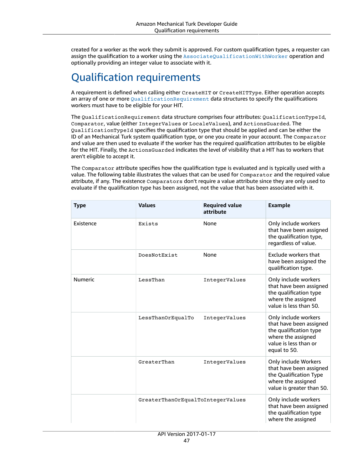created for a worker as the work they submit is approved. For custom qualification types, a requester can assign the qualification to a worker using the [AssociateQualificationWithWorker](https://docs.aws.amazon.com/AWSMechTurk/latest/AWSMturkAPI/ApiReference_AssociateQualificationWithWorkerOperation.html) operation and optionally providing an integer value to associate with it.

# <span id="page-50-0"></span>Qualification requirements

A requirement is defined when calling either CreateHIT or CreateHITType. Either operation accepts an array of one or more [QualificationRequirement](https://docs.aws.amazon.com/AWSMechTurk/latest/AWSMturkAPI/ApiReference_QualificationRequirementDataStructureArticle.html) data structures to specify the qualifications workers must have to be eligible for your HIT.

The QualificationRequirement data structure comprises four attributes: QualificationTypeId, Comparator, value (either IntegerValues or LocaleValues), and ActionsGuarded. The QualificationTypeId specifies the qualification type that should be applied and can be either the ID of an Mechanical Turk system qualification type, or one you create in your account. The Comparator and value are then used to evaluate if the worker has the required qualification attributes to be eligible for the HIT. Finally, the ActionsGuarded indicates the level of visibility that a HIT has to workers that aren't eligible to accept it.

The Comparator attribute specifies how the qualification type is evaluated and is typically used with a value. The following table illustrates the values that can be used for Comparator and the required value attribute, if any. The existence Comparators don't require a value attribute since they are only used to evaluate if the qualification type has been assigned, not the value that has been associated with it.

| <b>Type</b>    | <b>Values</b>                     | <b>Required value</b><br>attribute | <b>Example</b>                                                                                                                           |
|----------------|-----------------------------------|------------------------------------|------------------------------------------------------------------------------------------------------------------------------------------|
| Existence      | Exists                            | None                               | Only include workers<br>that have been assigned<br>the qualification type,<br>regardless of value.                                       |
|                | DoesNotExist                      | None                               | Exclude workers that<br>have been assigned the<br>qualification type.                                                                    |
| <b>Numeric</b> | LessThan                          | IntegerValues                      | Only include workers<br>that have been assigned<br>the qualification type<br>where the assigned<br>value is less than 50.                |
|                | LessThanOrEqualTo                 | IntegerValues                      | Only include workers<br>that have been assigned<br>the qualification type<br>where the assigned<br>value is less than or<br>equal to 50. |
|                | GreaterThan                       | IntegerValues                      | Only include Workers<br>that have been assigned<br>the Qualification Type<br>where the assigned<br>value is greater than 50.             |
|                | GreaterThanOrEqualToIntegerValues |                                    | Only include workers<br>that have been assigned<br>the qualification type<br>where the assigned                                          |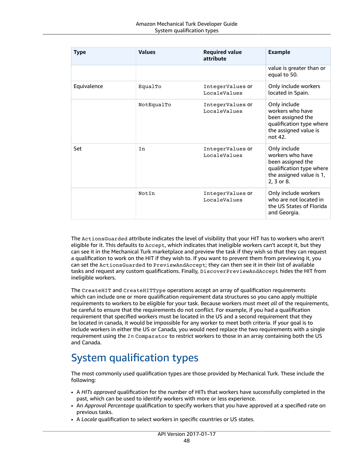| <b>Type</b> | <b>Values</b> | <b>Required value</b><br>attribute      | <b>Example</b>                                                                                                              |
|-------------|---------------|-----------------------------------------|-----------------------------------------------------------------------------------------------------------------------------|
|             |               |                                         | value is greater than or<br>equal to 50.                                                                                    |
| Equivalence | EqualTo       | IntegerValues or<br>LocaleValues        | Only include workers<br>located in Spain.                                                                                   |
|             | NotEqualTo    | IntegerValues or<br><b>LocaleValues</b> | Only include<br>workers who have<br>been assigned the<br>qualification type where<br>the assigned value is<br>not 42.       |
| Set         | In            | IntegerValues or<br>LocaleValues        | Only include<br>workers who have<br>been assigned the<br>qualification type where<br>the assigned value is 1,<br>2, 3 or 8. |
|             | NotIn         | IntegerValues or<br>LocaleValues        | Only include workers<br>who are not located in<br>the US States of Florida<br>and Georgia.                                  |

The ActionsGuarded attribute indicates the level of visibility that your HIT has to workers who aren't eligible for it. This defaults to Accept, which indicates that ineligible workers can't accept it, but they can see it in the Mechanical Turk marketplace and preview the task if they wish so that they can request a qualification to work on the HIT if they wish to. If you want to prevent them from previewing it, you can set the ActionsGuarded to PreviewAndAccept; they can then see it in their list of available tasks and request any custom qualifications. Finally, DiscoverPreviewAndAccept hides the HIT from ineligible workers.

The CreateHIT and CreateHITType operations accept an array of qualification requirements which can include one or more qualification requirement data structures so you cano apply multiple requirements to workers to be eligible for your task. Because workers must meet *all* of the requirements, be careful to ensure that the requirements do not conflict. For example, if you had a qualification requirement that specified workers must be located in the US and a second requirement that they be located in canada, it would be impossible for any worker to meet both criteria. If your goal is to include workers in either the US or Canada, you would need replace the two requirements with a single requirement using the *In* Comparator to restrict workers to those in an array containing both the US and Canada.

# <span id="page-51-0"></span>System qualification types

The most commonly used qualification types are those provided by Mechanical Turk. These include the following:

- A *HITs approved* qualification for the number of HITs that workers have successfully completed in the past, which can be used to identify workers with more or less experience.
- An *Approval Percentage* qualification to specify workers that you have approved at a specified rate on previous tasks.
- A *Locale* qualification to select workers in specific countries or US states.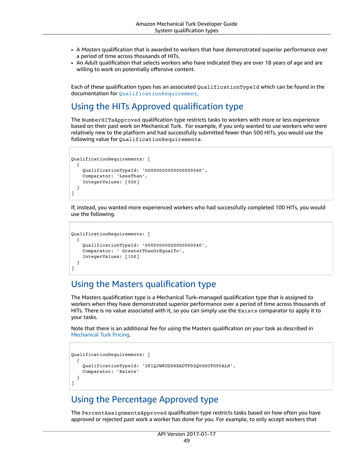- A *Masters* qualification that is awarded to workers that have demonstrated superior performance over a period of time across thousands of HITs.
- An *Adult* qualification that selects workers who have indicated they are over 18 years of age and are willing to work on potentially offensive content.

Each of these qualification types has an associated QualificationTypeId which can be found in the documentation for [QualificationRequirement](https://docs.aws.amazon.com/AWSMechTurk/latest/AWSMturkAPI/ApiReference_QualificationRequirementDataStructureArticle.html#ApiReference_QualificationType-IDs).

### Using the HITs Approved qualification type

The NumberHITsApproved qualification type restricts tasks to workers with more or less experience based on their past work on Mechanical Turk. For example, if you only wanted to use workers who were relatively new to the platform and had successfully submitted fewer than 500 HITs, you would use the following value for QualificationRequirements.

```
QualificationRequirements: [
    {
        QualificationTypeId: '00000000000000000040',
        Comparator: 'LessThan',
        IntegerValues: [500]
    }
\overline{1}
```
If, instead, you wanted more experienced workers who had successfully completed 100 HITs, you would use the following.

```
QualificationRequirements: [
    {
        QualificationTypeId: '00000000000000000040',
        Comparator: ' GreaterThanOrEqualTo',
        IntegerValues: [100]
    }
]
```
### Using the Masters qualification type

The Masters qualification type is a Mechanical Turk–managed qualification type that is assigned to workers when they have demonstrated superior performance over a period of time across thousands of HITs. There is no value associated with it, so you can simply use the Exists comparator to apply it to your tasks.

Note that there is an additional fee for using the Masters qualification on your task as described in [Mechanical](https://www.mturk.com/pricing) Turk Pricing.

```
QualificationRequirements: [
    {
        QualificationTypeId: '2F1QJWKUDD8XADTFD2Q0G6UTO95ALH',
        Comparator: 'Exists'
    }
]
```
### Using the Percentage Approved type

The PercentAssignmentsApproved qualification type restricts tasks based on how often you have approved or rejected past work a worker has done for you. For example, to only accept workers that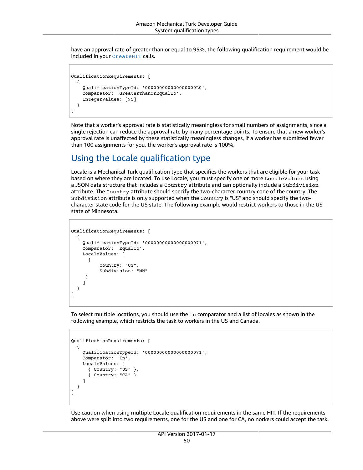have an approval rate of greater than or equal to 95%, the following qualification requirement would be included in your [CreateHIT](https://docs.aws.amazon.com/AWSMechTurk/latest/AWSMturkAPI/ApiReference_CreateHITOperation.html) calls.

```
QualificationRequirements: [
    {
        QualificationTypeId: '000000000000000000L0',
        Comparator: 'GreaterThanOrEqualTo',
        IntegerValues: [95]
    }
]
```
Note that a worker's approval rate is statistically meaningless for small numbers of assignments, since a single rejection can reduce the approval rate by many percentage points. To ensure that a new worker's approval rate is unaffected by these statistically meaningless changes, if a worker has submitted fewer than 100 assignments for you, the worker's approval rate is 100%.

### Using the Locale qualification type

Locale is a Mechanical Turk qualification type that specifies the workers that are eligible for your task based on where they are located. To use Locale, you must specify one or more LocaleValues using a JSON data structure that includes a Country attribute and can optionally include a Subdivision attribute. The Country attribute should specify the two-character country code of the country. The Subdivision attribute is only supported when the Country is "US" and should specify the twocharacter state code for the US state. The following example would restrict workers to those in the US state of Minnesota.

```
QualificationRequirements: [
    {
         QualificationTypeId: '00000000000000000071',
         Comparator: 'EqualTo',
         LocaleValues: [
              {
                       Country: "US",
                       Subdivision: "MN"
           }
         ]
    }
]
```
To select multiple locations, you should use the In comparator and a list of locales as shown in the following example, which restricts the task to workers in the US and Canada.

```
QualificationRequirements: [
    {
        QualificationTypeId: '00000000000000000071',
        Comparator: 'In',
        LocaleValues: [
             { Country: "US" },
             { Country: "CA" }
        ]
    }
]
```
Use caution when using multiple Locale qualification requirements in the same HIT. If the requirements above were split into two requirements, one for the US and one for CA, no norkers could accept the task.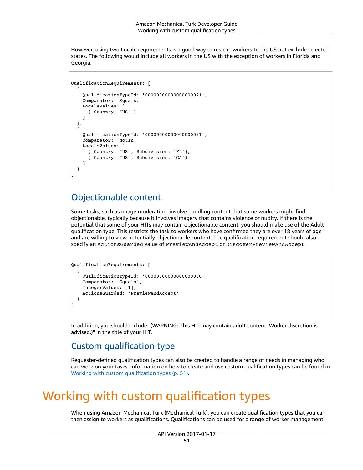However, using two Locale requirements is a good way to restrict workers to the US but exclude selected states. The following would include all workers in the US with the exception of workers in Florida and Georgia.

```
QualificationRequirements: [
    {
        QualificationTypeId: '00000000000000000071',
        Comparator: 'Equals,
        LocaleValues: [
             { Country: "US" }
        ]
    },
    {
        QualificationTypeId: '00000000000000000071',
        Comparator: 'NotIn,
        LocaleValues: [
             { Country: "US", Subdivision: 'FL'},
             { Country: "US", Subdivision: 'GA'}
        ]
    }
]
```
### Objectionable content

Some tasks, such as image moderation, involve handling content that some workers might find objectionable, typically because it involves imagery that contains violence or nudity. If there is the potential that some of your HITs may contain objectionable content, you should make use of the Adult qualification type. This restricts the task to workers who have confirmed they are over 18 years of age and are willing to view potentially objectionable content. The qualification requirement should also specify an ActionsGuarded value of PreviewAndAccept or DiscoverPreviewAndAccept.

```
QualificationRequirements: [
    {
        QualificationTypeId: '00000000000000000060',
        Comparator: 'Equals',
        IntegerValues: [1],
        ActionsGuarded: 'PreviewAndAccept'
    }
]
```
In addition, you should include "(WARNING: This HIT may contain adult content. Worker discretion is advised.)" in the title of your HIT.

### Custom qualification type

Requester-defined qualification types can also be created to handle a range of needs in managing who can work on your tasks. Information on how to create and use custom qualification types can be found in Working with custom [qualification](#page-54-0) type[s \(p. 51\)](#page-54-0).

# <span id="page-54-0"></span>Working with custom qualification types

When using Amazon Mechanical Turk (Mechanical Turk), you can create qualification types that you can then assign to workers as qualifications. Qualifications can be used for a range of worker management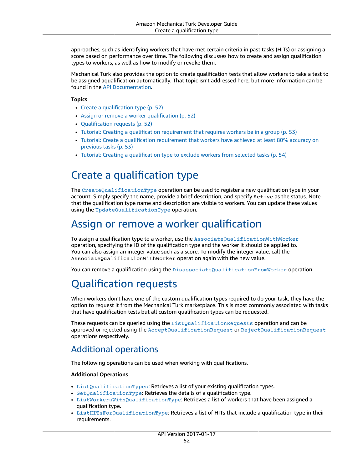approaches, such as identifying workers that have met certain criteria in past tasks (HITs) or assigning a score based on performance over time. The following discusses how to create and assign qualification types to workers, as well as how to modify or revoke them.

Mechanical Turk also provides the option to create qualification tests that allow workers to take a test to be assigned aqualification automatically. That topic isn't addressed here, but more information can be found in the [API Documentation.](https://docs.aws.amazon.com/AWSMechTurk/latest/AWSMturkAPI/ApiReference_CreateQualificationTypeOperation.html)

#### **Topics**

- Create a [qualification](#page-55-0) type (p. 52)
- Assign or remove a worker [qualification \(p. 52\)](#page-55-1)
- Qualification [requests \(p. 52\)](#page-55-2)
- Tutorial: Creating a qualification requirement that requires workers be in a [group \(p. 53\)](#page-56-0)
- Tutorial: Create a [qualification](#page-56-1) requirement that workers have achieved at least 80% accuracy on previous [tasks \(p. 53\)](#page-56-1)
- Tutorial: Creating a [qualification](#page-57-0) type to exclude workers from selected tasks (p. 54)

## <span id="page-55-0"></span>Create a qualification type

The [CreateQualificationType](https://docs.aws.amazon.com/AWSMechTurk/latest/AWSMturkAPI/ApiReference_CreateQualificationTypeOperation.html) operation can be used to register a new qualification type in your account. Simply specify the name, provide a brief description, and specify Active as the status. Note that the qualification type name and description are visible to workers. You can update these values using the [UpdateQualificationType](https://docs.aws.amazon.com/AWSMechTurk/latest/AWSMturkAPI/ApiReference_UpdateQualificationTypeOperation.html) operation.

### <span id="page-55-1"></span>Assign or remove a worker qualification

To assign a qualification type to a worker, use the [AssociateQualificationWithWorker](https://docs.aws.amazon.com/AWSMechTurk/latest/AWSMturkAPI/ApiReference_AssociateQualificationWithWorkerOperation.html) operation, specifying the ID of the qualification type and the worker it should be applied to. You can also assign an integer value such as a score. To modify the integer value, call the AssociateQualificationWithWorker operation again with the new value.

You can remove a qualification using the [DisassociateQualificationFromWorker](https://docs.aws.amazon.com/AWSMechTurk/latest/AWSMturkAPI/ApiReference_DisassociateQualificationFromWorkerOperation.html) operation.

# <span id="page-55-2"></span>Qualification requests

When workers don't have one of the custom qualification types required to do your task, they have the option to request it from the Mechanical Turk marketplace. This is most commonly associated with tasks that have qualification tests but all custom qualification types can be requested.

These requests can be queried using the [ListQualificationRequests](https://docs.aws.amazon.com/AWSMechTurk/latest/AWSMturkAPI/ApiReference_ListQualificationRequestsOperation.html) operation and can be approved or rejected using the [AcceptQualificationRequest](https://docs.aws.amazon.com/AWSMechTurk/latest/AWSMturkAPI/ApiReference_AcceptQualificationRequestOperation.html) or [RejectQualificationRequest](https://docs.aws.amazon.com/AWSMechTurk/latest/AWSMturkAPI/ApiReference_RejectQualificationRequestOperation.html) operations respectively.

### Additional operations

The following operations can be used when working with qualifications.

#### **Additional Operations**

- [ListQualificationTypes](https://docs.aws.amazon.com/AWSMechTurk/latest/AWSMturkAPI/ApiReference_ListQualificationTypesOperation.html): Retrieves a list of your existing qualification types.
- $\bullet$  [GetQualificationType](https://docs.aws.amazon.com/AWSMechTurk/latest/AWSMturkAPI/ApiReference_GetQualificationTypeOperation.html): Retrieves the details of a qualification type.
- [ListWorkersWithQualificationType](https://docs.aws.amazon.com/AWSMechTurk/latest/AWSMturkAPI/ApiReference_ListWorkersWithQualificationTypeOperation.html): Retrieves a list of workers that have been assigned a qualification type.
- [ListHITsForQualificationType](https://docs.aws.amazon.com/AWSMechTurk/latest/AWSMturkAPI/ApiReference_ListHITsForQualificationTypeOperation.html): Retrieves a list of HITs that include a qualification type in their requirements.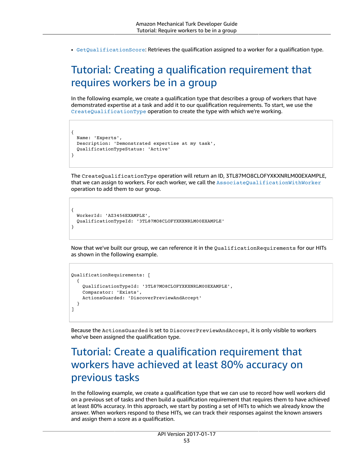• [GetQualificationScore](https://docs.aws.amazon.com/AWSMechTurk/latest/AWSMturkAPI/ApiReference_GetQualificationScoreOperation.html): Retrieves the qualification assigned to a worker for a qualification type.

# <span id="page-56-0"></span>Tutorial: Creating a qualification requirement that requires workers be in a group

In the following example, we create a qualification type that describes a group of workers that have demonstrated expertise at a task and add it to our qualification requirements. To start, we use the [CreateQualificationType](https://docs.aws.amazon.com/AWSMechTurk/latest/AWSMturkAPI/ApiReference_CreateQualificationTypeOperation.html) operation to create the type with which we're working.

```
{
   Name: 'Experts', 
   Description: 'Demonstrated expertise at my task',
   QualificationTypeStatus: 'Active'
}
```
The CreateQualificationType operation will return an ID, 3TL87MO8CLOFYXKXNRLM00EXAMPLE, that we can assign to workers. For each worker, we call the [AssociateQualificationWithWorker](https://docs.aws.amazon.com/AWSMechTurk/latest/AWSMturkAPI/ApiReference_AssociateQualificationWithWorkerOperation.html) operation to add them to our group.

```
{
   WorkerId: 'AZ3456EXAMPLE',
   QualificationTypeId: '3TL87MO8CLOFYXKXNRLM00EXAMPLE'
}
```
Now that we've built our group, we can reference it in the QualificationRequirements for our HITs as shown in the following example.

```
QualificationRequirements: [
   {
        QualificationTypeId: '3TL87MO8CLOFYXKXNRLM00EXAMPLE',
        Comparator: 'Exists',
        ActionsGuarded: 'DiscoverPreviewAndAccept'
  }
]
```
Because the ActionsGuarded is set to DiscoverPreviewAndAccept, it is only visible to workers who've been assigned the qualification type.

## <span id="page-56-1"></span>Tutorial: Create a qualification requirement that workers have achieved at least 80% accuracy on previous tasks

In the following example, we create a qualification type that we can use to record how well workers did on a previous set of tasks and then build a qualification requirement that requires them to have achieved at least 80% accuracy. In this approach, we start by posting a set of HITs to which we already know the answer. When workers respond to these HITs, we can track their responses against the known answers and assign them a score as a qualification.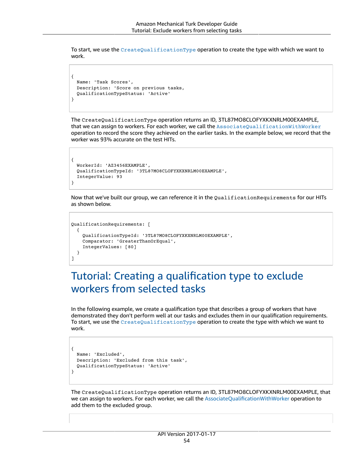To start, we use the [CreateQualificationType](https://docs.aws.amazon.com/AWSMechTurk/latest/AWSMturkAPI/ApiReference_CreateQualificationTypeOperation.html) operation to create the type with which we want to work.

```
{
    Name: 'Task Scores', 
    Description: 'Score on previous tasks,
    QualificationTypeStatus: 'Active'
}
```
The CreateQualificationType operation returns an ID, 3TL87MO8CLOFYXKXNRLM00EXAMPLE, that we can assign to workers. For each worker, we call the [AssociateQualificationWithWorker](https://docs.aws.amazon.com/AWSMechTurk/latest/AWSMturkAPI/ApiReference_AssociateQualificationWithWorkerOperation.html) operation to record the score they achieved on the earlier tasks. In the example below, we record that the worker was 93% accurate on the test HITs.

```
{
   WorkerId: 'AZ3456EXAMPLE',
   QualificationTypeId: '3TL87MO8CLOFYXKXNRLM00EXAMPLE',
   IntegerValue: 93
}
```
Now that we've built our group, we can reference it in the QualificationRequirements for our HITs as shown below.

```
QualificationRequirements: [
   {
        QualificationTypeId: '3TL87MO8CLOFYXKXNRLM00EXAMPLE',
        Comparator: 'GreaterThanOrEqual',
        IntegerValues: [80]
   }
]
```
## <span id="page-57-0"></span>Tutorial: Creating a qualification type to exclude workers from selected tasks

In the following example, we create a qualification type that describes a group of workers that have demonstrated they don't perform well at our tasks and excludes them in our qualification requirements. To start, we use the [CreateQualificationType](https://docs.aws.amazon.com/AWSMechTurk/latest/AWSMturkAPI/ApiReference_CreateQualificationTypeOperation.html) operation to create the type with which we want to work.

```
{
    Name: 'Excluded', 
    Description: 'Excluded from this task',
    QualificationTypeStatus: 'Active'
}
```
The CreateQualificationType operation returns an ID, 3TL87MO8CLOFYXKXNRLM00EXAMPLE, that we can assign to workers. For each worker, we call the [AssociateQualificationWithWorker](https://docs.aws.amazon.com/AWSMechTurk/latest/AWSMturkAPI/ApiReference_AssociateQualificationWithWorkerOperation.html) operation to add them to the excluded group.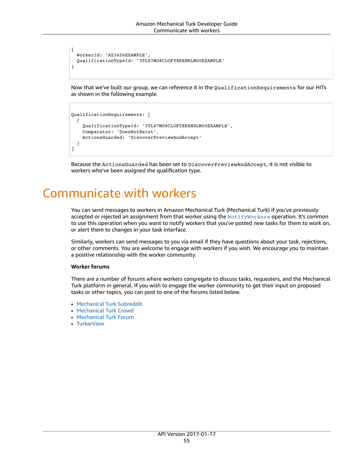```
{
    WorkerId: 'AZ3456EXAMPLE',
    QualificationTypeId: '3TL87MO8CLOFYXKXNRLM00EXAMPLE'
}
```
Now that we've built our group, we can reference it in the QualificationRequirements for our HITs as shown in the following example.

```
QualificationRequirements: [
    {
        QualificationTypeId: '3TL87MO8CLOFYXKXNRLM00EXAMPLE',
        Comparator: 'DoesNotExist',
        ActionsGuarded: 'DiscoverPreviewAndAccept'
   }
]
```
Because the ActionsGuarded has been set to DiscoverPreviewAndAccept, it is not visible to workers who've been assigned the qualification type.

# <span id="page-58-0"></span>Communicate with workers

You can send messages to workers in Amazon Mechanical Turk (Mechanical Turk) if you've previously accepted or rejected an assignment from that worker using the [NotifyWorkers](https://docs.aws.amazon.com/AWSMechTurk/latest/AWSMturkAPI/ApiReference_NotifyWorkersOperation.html) operation. It's common to use this operation when you want to notify workers that you've posted new tasks for them to work on, or alert them to changes in your task interface.

Similarly, workers can send messages to you via email if they have questions about your task, rejections, or other comments. You are welcome to engage with workers if you wish. We encourage you to maintain a positive relationship with the worker community.

#### **Worker forums**

There are a number of forums where workers congregate to discuss tasks, requesters, and the Mechanical Turk platform in general. If you wish to engage the worker community to get their input on proposed tasks or other topics, you can post to one of the forums listed below.

- [Mechanical](https://www.reddit.com/r/mturk/) Turk Subreddit
- [Mechanical](https://www.mturkcrowd.com/) Turk Crowd
- [Mechanical](http://www.mturkforum.com/index.php) Turk Forum
- [TurkerView](https://forum.turkerview.com/)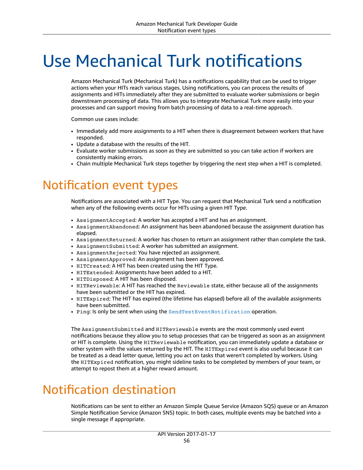# <span id="page-59-0"></span>Use Mechanical Turk notifications

Amazon Mechanical Turk (Mechanical Turk) has a notifications capability that can be used to trigger actions when your HITs reach various stages. Using notifications, you can process the results of assignments and HITs immediately after they are submitted to evaluate worker submissions or begin downstream processing of data. This allows you to integrate Mechanical Turk more easily into your processes and can support moving from batch processing of data to a real-time approach.

Common use cases include:

- Immediately add more assignments to a HIT when there is disagreement between workers that have responded.
- Update a database with the results of the HIT.
- Evaluate worker submissions as soon as they are submitted so you can take action if workers are consistently making errors.
- Chain multiple Mechanical Turk steps together by triggering the next step when a HIT is completed.

# <span id="page-59-1"></span>Notification event types

Notifications are associated with a HIT Type. You can request that Mechanical Turk send a notification when any of the following events occur for HITs using a given HIT Type.

- AssignmentAccepted: A worker has accepted a HIT and has an assignment.
- AssignmentAbandoned: An assignment has been abandoned because the assignment duration has elapsed.
- AssignmentReturned: A worker has chosen to return an assignment rather than complete the task.
- AssignmentSubmitted: A worker has submitted an assignment.
- AssignmentRejected: You have rejected an assignment.
- AssignmentApproved: An assignment has been approved.
- HITCreated: A HIT has been created using the HIT Type.
- HITExtended: Assignments have been added to a HIT.
- HITDisposed: A HIT has been disposed.
- HITReviewable: A HIT has reached the Reviewable state, either because all of the assignments have been submitted or the HIT has expired.
- HITExpired: The HIT has expired (the lifetime has elapsed) before all of the available assignments have been submitted.
- Ping: Is only be sent when using the [SendTestEventNotification](https://docs.aws.amazon.com/AWSMechTurk/latest/AWSMturkAPI/ApiReference_SendTestEventNotificationOperation.html) operation.

The AssignmentSubmitted and HITReviewable events are the most commonly used event notifications because they allow you to setup processes that can be triggered as soon as an assignment or HIT is complete. Using the HITReviewable notification, you can immediately update a database or other system with the values returned by the HIT. The HITExpired event is also useful because it can be treated as a dead letter queue, letting you act on tasks that weren't completed by workers. Using the HITExpired notification, you might sideline tasks to be completed by members of your team, or attempt to repost them at a higher reward amount.

# <span id="page-59-2"></span>Notification destination

Notifications can be sent to either an Amazon Simple Queue Service (Amazon SQS) queue or an Amazon Simple Notification Service (Amazon SNS) topic. In both cases, multiple events may be batched into a single message if appropriate.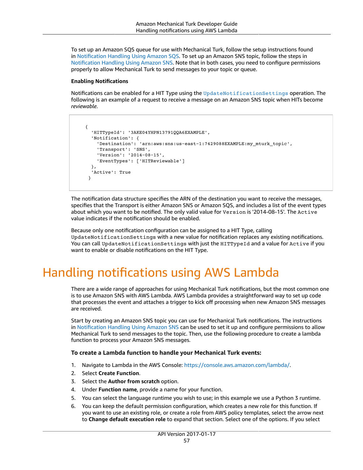To set up an Amazon SQS queue for use with Mechanical Turk, follow the setup instructions found in [Notification](https://docs.aws.amazon.com/AWSMechTurk/latest/AWSMturkAPI/ApiReference_NotificationReceptorAPI_SQSTransportArticle.html) Handling Using Amazon SQS. To set up an Amazon SNS topic, follow the steps in [Notification](https://docs.aws.amazon.com/AWSMechTurk/latest/AWSMturkAPI/ApiReference_NotificationReceptorAPI_SNSTransportArticle.html) Handling Using Amazon SNS. Note that in both cases, you need to configure permissions properly to allow Mechanical Turk to send messages to your topic or queue.

#### **Enabling Notifications**

Notifications can be enabled for a HIT Type using the [UpdateNotificationSettings](https://docs.aws.amazon.com/AWSMechTurk/latest/AWSMturkAPI/ApiReference_UpdateNotificationSettingsOperation.html) operation. The following is an example of a request to receive a message on an Amazon SNS topic when HITs become *reviewable*.

```
     { 
          'HITTypeId': '3AKE04YHPN13791QQA6EXAMPLE',
          'Notification': {
              'Destination': 'arn:aws:sns:us-east-1:7429088EXAMPLE:my_mturk_topic',
              'Transport': 'SNS',
              'Version': '2014-08-15',
              'EventTypes': ['HITReviewable']
         },
          'Active': True
       }
```
The notification data structure specifies the ARN of the destination you want to receive the messages, specifies that the Transport is either Amazon SNS or Amazon SQS, and includes a list of the event types about which you want to be notified. The only valid value for Version is '2014-08-15'. The Active value indicates if the notification should be enabled.

Because only one notification configuration can be assigned to a HIT Type, calling UpdateNotificationSettings with a new value for notification replaces any existing notifications. You can call UpdateNotificationSettings with just the HITTypeId and a value for Active if you want to enable or disable notifications on the HIT Type.

# <span id="page-60-0"></span>Handling notifications using AWS Lambda

There are a wide range of approaches for using Mechanical Turk notifications, but the most common one is to use Amazon SNS with AWS Lambda. AWS Lambda provides a straightforward way to set up code that processes the event and attaches a trigger to kick off processing when new Amazon SNS messages are received.

Start by creating an Amazon SNS topic you can use for Mechanical Turk notifications. The instructions in [Notification](https://docs.aws.amazon.com/AWSMechTurk/latest/AWSMturkAPI/ApiReference_NotificationReceptorAPI_SNSTransportArticle.html) Handling Using Amazon SNS can be used to set it up and configure permissions to allow Mechanical Turk to send messages to the topic. Then, use the following procedure to create a lambda function to process your Amazon SNS messages.

#### **To create a Lambda function to handle your Mechanical Turk events:**

- 1. Navigate to Lambda in the AWS Console: [https://console.aws.amazon.com/lambda/.](https://console.aws.amazon.com/lambda/)
- 2. Select **Create Function**.
- 3. Select the **Author from scratch** option.
- 4. Under **Function name**, provide a name for your function.
- 5. You can select the language runtime you wish to use; in this example we use a Python 3 runtime.
- 6. You can keep the default permission configuration, which creates a new role for this function. If you want to use an existing role, or create a role from AWS policy templates, select the arrow next to **Change default execution role** to expand that section. Select one of the options. If you select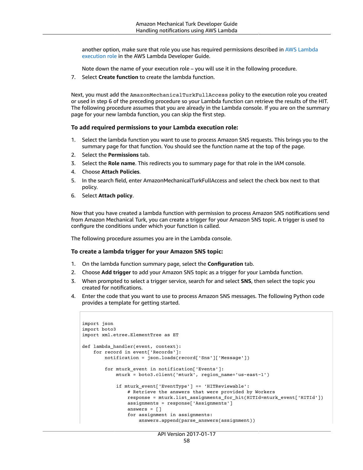another option, make sure that role you use has required permissions described in AWS [Lambda](https://docs.aws.amazon.com/lambda/latest/dg/lambda-intro-execution-role.html) [execution](https://docs.aws.amazon.com/lambda/latest/dg/lambda-intro-execution-role.html) role in the AWS Lambda Developer Guide.

Note down the name of your execution role – you will use it in the following procedure.

7. Select **Create function** to create the lambda function.

Next, you must add the AmazonMechanicalTurkFullAccess policy to the execution role you created or used in step 6 of the preceding procedure so your Lambda function can retrieve the results of the HIT. The following procedure assumes that you are already in the Lambda console. If you are on the summary page for your new lambda function, you can skip the first step.

#### **To add required permissions to your Lambda execution role:**

- 1. Select the lambda function you want to use to process Amazon SNS requests. This brings you to the summary page for that function. You should see the function name at the top of the page.
- 2. Select the **Permissions** tab.
- 3. Select the **Role name**. This redirects you to summary page for that role in the IAM console.
- 4. Choose **Attach Policies**.
- 5. In the search field, enter AmazonMechanicalTurkFullAccess and select the check box next to that policy.
- 6. Select **Attach policy**.

Now that you have created a lambda function with permission to process Amazon SNS notifications send from Amazon Mechanical Turk, you can create a trigger for your Amazon SNS topic. A trigger is used to configure the conditions under which your function is called.

The following procedure assumes you are in the Lambda console.

#### **To create a lambda trigger for your Amazon SNS topic:**

- 1. On the lambda function summary page, select the **Configuration** tab.
- 2. Choose **Add trigger** to add your Amazon SNS topic as a trigger for your Lambda function.
- 3. When prompted to select a trigger service, search for and select **SNS**, then select the topic you created for notifications.
- 4. Enter the code that you want to use to process Amazon SNS messages. The following Python code provides a template for getting started.

```
import json
import boto3
import xml.etree.ElementTree as ET
def lambda_handler(event, context):
        for record in event['Records']:
                 notification = json.loads(record['Sns']['Message'])
                 for mturk_event in notification['Events']:
                          mturk = boto3.client('mturk', region_name='us-east-1')
                           if mturk_event['EventType'] == 'HITReviewable':
                                    # Retrieve the answers that were provided by Workers
                                    response = mturk.list_assignments_for_hit(HITId=mturk_event['HITId'])
                                    assignments = response['Assignments']
                                    answers = []
                                    for assignment in assignments:
                                             answers.append(parse_answers(assignment))
```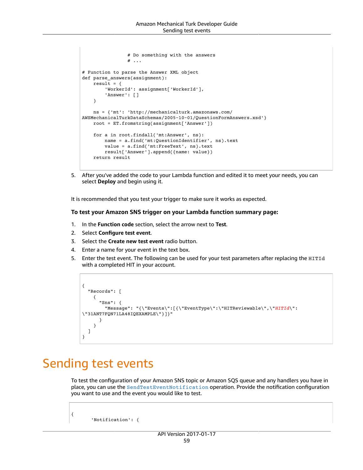```
                # Do something with the answers
                  # \ldots# Function to parse the Answer XML object
def parse_answers(assignment):
    result = \{'WorkerId': assignment['WorkerId'],
                 'Answer': []
        }
        ns = {'mt': 'http://mechanicalturk.amazonaws.com/
AWSMechanicalTurkDataSchemas/2005-10-01/QuestionFormAnswers.xsd'}
        root = ET.fromstring(assignment['Answer'])
        for a in root.findall('mt:Answer', ns):
                 name = a.find('mt:QuestionIdentifier', ns).text
                 value = a.find('mt:FreeText', ns).text
                 result['Answer'].append({name: value})
        return result
```
5. After you've added the code to your Lambda function and edited it to meet your needs, you can select **Deploy** and begin using it.

It is recommended that you test your trigger to make sure it works as expected.

#### **To test your Amazon SNS trigger on your Lambda function summary page:**

- 1. In the **Function code** section, select the arrow next to **Test**.
- 2. Select **Configure test event**.
- 3. Select the **Create new test event** radio button.
- 4. Enter a name for your event in the text box.
- 5. Enter the test event. The following can be used for your test parameters after replacing the HITId with a completed HIT in your account.

```
{
    "Records": [
         {
             "Sns": {
                  "Message": "{\"Events\":[{\"EventType\":\"HITReviewable\",\"HITId\":
\"31ANT7FQN71LA48IQEXAMPLE\"}]}"
             }
         }
    ]
}
```
# <span id="page-62-0"></span>Sending test events

{

To test the configuration of your Amazon SNS topic or Amazon SQS queue and any handlers you have in place, you can use the [SendTestEventNotification](https://docs.aws.amazon.com/AWSMechTurk/latest/AWSMturkAPI/ApiReference_SendTestEventNotificationOperation.html) operation. Provide the notification configuration you want to use and the event you would like to test.

'Notification': {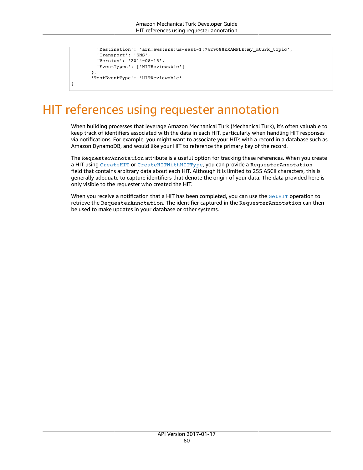```
         'Destination': 'arn:aws:sns:us-east-1:7429088EXAMPLE:my_mturk_topic',
                    'Transport': 'SNS',
                    'Version': '2014-08-15',
                    'EventTypes': ['HITReviewable']
                },
                'TestEventType': 'HITReviewable'
}
```
# <span id="page-63-0"></span>HIT references using requester annotation

When building processes that leverage Amazon Mechanical Turk (Mechanical Turk), it's often valuable to keep track of identifiers associated with the data in each HIT, particularly when handling HIT responses via notifications. For example, you might want to associate your HITs with a record in a database such as Amazon DynamoDB, and would like your HIT to reference the primary key of the record.

The RequesterAnnotation attribute is a useful option for tracking these references. When you create a HIT using [CreateHIT](https://docs.aws.amazon.com/AWSMechTurk/latest/AWSMturkAPI/ApiReference_CreateHITOperation.html) or [CreateHITWithHITType](https://docs.aws.amazon.com/AWSMechTurk/latest/AWSMturkAPI/ApiReference_CreateHITWithHITTypeOperation.html), you can provide a RequesterAnnotation field that contains arbitrary data about each HIT. Although it is limited to 255 ASCII characters, this is generally adequate to capture identifiers that denote the origin of your data. The data provided here is only visible to the requester who created the HIT.

When you receive a notification that a HIT has been completed, you can use the [GetHIT](https://docs.aws.amazon.com/AWSMechTurk/latest/AWSMturkAPI/ApiReference_GetHITOperation.html) operation to retrieve the RequesterAnnotation. The identifier captured in the RequesterAnnotation can then be used to make updates in your database or other systems.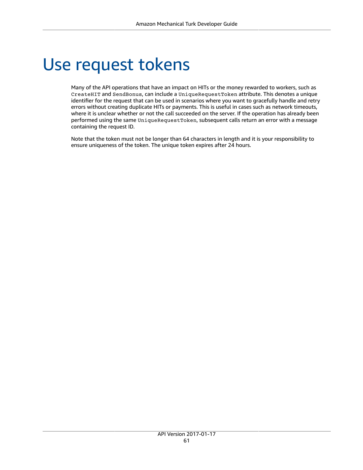# <span id="page-64-0"></span>Use request tokens

Many of the API operations that have an impact on HITs or the money rewarded to workers, such as CreateHIT and SendBonus, can include a UniqueRequestToken attribute. This denotes a unique identifier for the request that can be used in scenarios where you want to gracefully handle and retry errors without creating duplicate HITs or payments. This is useful in cases such as network timeouts, where it is unclear whether or not the call succeeded on the server. If the operation has already been performed using the same UniqueRequestToken, subsequent calls return an error with a message containing the request ID.

Note that the token must not be longer than 64 characters in length and it is your responsibility to ensure uniqueness of the token. The unique token expires after 24 hours.